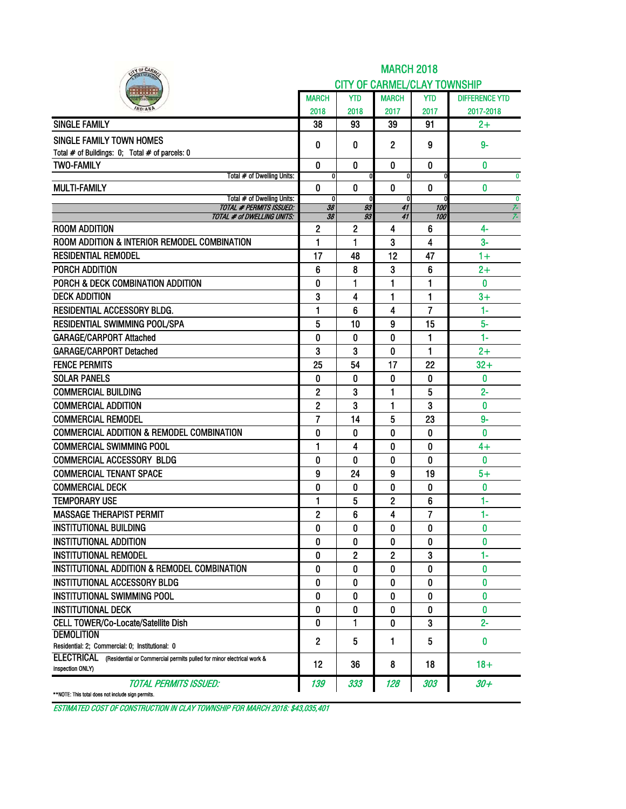| IY OF CARA                                                                                           |                |              | <b>MARCH 2018</b>                   |                |                       |
|------------------------------------------------------------------------------------------------------|----------------|--------------|-------------------------------------|----------------|-----------------------|
|                                                                                                      |                |              | <b>CITY OF CARMEL/CLAY TOWNSHIP</b> |                |                       |
|                                                                                                      | <b>MARCH</b>   | YTD          | <b>MARCH</b>                        | <b>YTD</b>     | <b>DIFFERENCE YTD</b> |
|                                                                                                      | 2018           | 2018         | 2017                                | 2017           | 2017-2018             |
| <b>SINGLE FAMILY</b>                                                                                 | 38             | 93           | 39                                  | 91             | $2+$                  |
| SINGLE FAMILY TOWN HOMES                                                                             |                | 0            |                                     |                | $9-$                  |
| Total # of Buildings: 0; Total # of parcels: 0                                                       | 0              |              | 2                                   | 9              |                       |
| <b>TWO-FAMILY</b>                                                                                    | 0              | 0            | 0                                   | $\bf{0}$       | 0                     |
| Total # of Dwelling Units:                                                                           | $\mathbf{0}$   |              | 0                                   | 0              | $\bf{0}$              |
| <b>MULTI-FAMILY</b>                                                                                  | 0              | 0            | $\boldsymbol{0}$                    | $\mathbf 0$    | 0                     |
| Total # of Dwelling Units:<br><b>TOTAL # PERMITS ISSUED:</b>                                         | 0<br>38        | 93           | 0<br>41                             | 0<br>100       | $\bf{0}$<br>7-        |
| TOTAL # of DWELLING UNITS:                                                                           | 38             | 93           | 41                                  | 100            | 7-                    |
| <b>ROOM ADDITION</b>                                                                                 | $\mathbf{2}$   | $\mathbf{2}$ | 4                                   | 6              | 4-                    |
| ROOM ADDITION & INTERIOR REMODEL COMBINATION                                                         | 1              | 1            | 3                                   | 4              | $3-$                  |
| <b>RESIDENTIAL REMODEL</b>                                                                           | 17             | 48           | 12                                  | 47             | $1+$                  |
| PORCH ADDITION                                                                                       | 6              | 8            | 3                                   | 6              | $2+$                  |
| PORCH & DECK COMBINATION ADDITION                                                                    | 0              | 1            | 1                                   | 1              | 0                     |
| <b>DECK ADDITION</b>                                                                                 | 3              | 4            | 1                                   | 1              | $3+$                  |
| <b>RESIDENTIAL ACCESSORY BLDG.</b>                                                                   | 1              | 6            | 4                                   | 7              | $1 -$                 |
| RESIDENTIAL SWIMMING POOL/SPA                                                                        | 5              | 10           | 9                                   | 15             | $5-$                  |
| <b>GARAGE/CARPORT Attached</b>                                                                       | 0              | 0            | 0                                   | 1              | $1 -$                 |
| <b>GARAGE/CARPORT Detached</b>                                                                       | 3              | 3            | 0                                   | 1              | $2+$                  |
| <b>FENCE PERMITS</b>                                                                                 | 25             | 54           | 17                                  | 22             | $32 +$                |
| <b>SOLAR PANELS</b>                                                                                  | 0              | 0            | 0                                   | 0              | 0                     |
| <b>COMMERCIAL BUILDING</b>                                                                           | 2              | 3            | 1                                   | 5              | $2 -$                 |
| <b>COMMERCIAL ADDITION</b>                                                                           | 2              | 3            | 1                                   | 3              | 0                     |
| <b>COMMERCIAL REMODEL</b>                                                                            | $\overline{7}$ | 14           | 5                                   | 23             | $9-$                  |
| <b>COMMERCIAL ADDITION &amp; REMODEL COMBINATION</b>                                                 | 0              | 0            | 0                                   | 0              | 0                     |
| <b>COMMERCIAL SWIMMING POOL</b>                                                                      | 1              | 4            | 0                                   | 0              | $4+$                  |
| <b>COMMERCIAL ACCESSORY BLDG</b>                                                                     | 0              | 0            | 0                                   | 0              | 0                     |
| <b>COMMERCIAL TENANT SPACE</b>                                                                       | 9              | 24           | 9                                   | 19             | $5+$                  |
| <b>COMMERCIAL DECK</b>                                                                               | 0              | 0            | 0                                   | 0              | 0                     |
| <b>TEMPORARY USE</b>                                                                                 | 1              | 5            | 2                                   | 6              | 1-                    |
| <b>MASSAGE THERAPIST PERMIT</b>                                                                      | 2              | 6            | 4                                   | $\overline{7}$ | 1-                    |
| <b>INSTITUTIONAL BUILDING</b>                                                                        | 0              | 0            | 0                                   | 0              | 0                     |
| <b>INSTITUTIONAL ADDITION</b>                                                                        | 0              | 0            | 0                                   | 0              | $\bf{0}$              |
| <b>INSTITUTIONAL REMODEL</b>                                                                         | 0              | 2            | 2                                   | 3              | 1-                    |
| INSTITUTIONAL ADDITION & REMODEL COMBINATION                                                         | 0              | 0            | 0                                   | 0              | 0                     |
| <b>INSTITUTIONAL ACCESSORY BLDG</b>                                                                  | 0              | 0            | 0                                   | 0              | 0                     |
| <b>INSTITUTIONAL SWIMMING POOL</b>                                                                   | 0              | 0            | 0                                   | 0              | 0                     |
| <b>INSTITUTIONAL DECK</b>                                                                            | 0              | 0            | 0                                   | 0              | 0                     |
| CELL TOWER/Co-Locate/Satellite Dish                                                                  | 0              | 1            | 0                                   | 3              | $2 -$                 |
| <b>DEMOLITION</b>                                                                                    |                |              |                                     |                |                       |
| Residential: 2; Commercial: 0; Institutional: 0                                                      | $\mathbf{2}$   | 5            | 1                                   | 5              | 0                     |
| ELECTRICAL (Residential or Commercial permits pulled for minor electrical work &<br>inspection ONLY) | 12             | 36           | 8                                   | 18             | $18+$                 |
| Total Permits Issued:                                                                                | 139            | 333          | 128                                 | 303            | 30+                   |
| **NOTE: This total does not include sign permits.                                                    |                |              |                                     |                |                       |

ESTIMATED COST OF CONSTRUCTION IN CLAY TOWNSHIP FOR MARCH 2018: \$43,035,401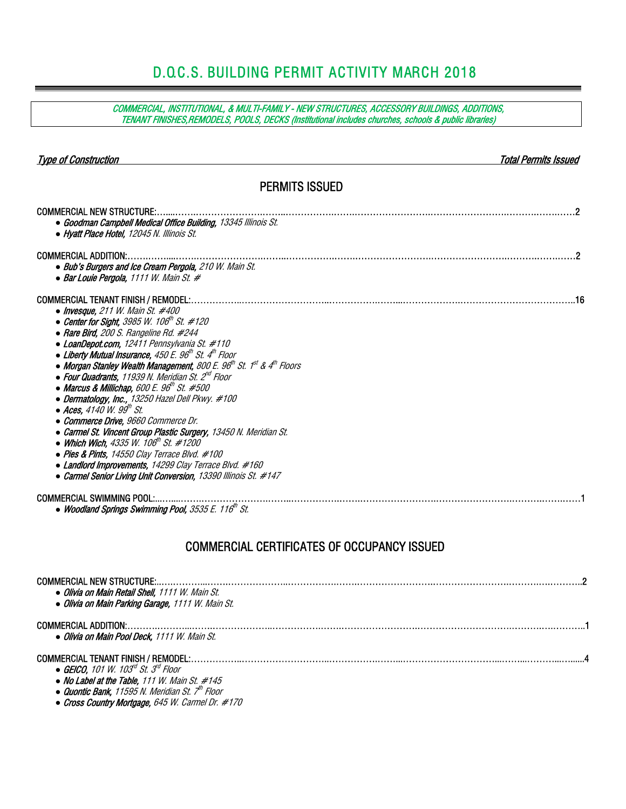# D.O.C.S. BUILDING PERMIT ACTIVITY MARCH 2018

COMMERCIAL, INSTITUTIONAL, & MULTI-FAMILY - NEW STRUCTURES, ACCESSORY BUILDINGS, ADDITIONS, TENANT FINISHES,REMODELS, POOLS, DECKS (Institutional includes churches, schools & public libraries)

| <b>Type of Construction</b>                                                                                                                                                                                                                                                                                                                                                                                                                                                                                                                                                                                                                                                                                                                                                                                                                                                                                                                                       | Total Permits Issued |
|-------------------------------------------------------------------------------------------------------------------------------------------------------------------------------------------------------------------------------------------------------------------------------------------------------------------------------------------------------------------------------------------------------------------------------------------------------------------------------------------------------------------------------------------------------------------------------------------------------------------------------------------------------------------------------------------------------------------------------------------------------------------------------------------------------------------------------------------------------------------------------------------------------------------------------------------------------------------|----------------------|
| <b>PERMITS ISSUED</b>                                                                                                                                                                                                                                                                                                                                                                                                                                                                                                                                                                                                                                                                                                                                                                                                                                                                                                                                             |                      |
| <b>COMMERCIAL NEW STRUCTURE:.</b><br>• Goodman Campbell Medical Office Building, 13345 Illinois St.<br>• Hyatt Place Hotel, 12045 N. Illinois St.                                                                                                                                                                                                                                                                                                                                                                                                                                                                                                                                                                                                                                                                                                                                                                                                                 |                      |
| • Bub's Burgers and Ice Cream Pergola, 210 W. Main St.<br>• Bar Louie Pergola, 1111 W. Main St. #                                                                                                                                                                                                                                                                                                                                                                                                                                                                                                                                                                                                                                                                                                                                                                                                                                                                 |                      |
| • Invesque, 211 W. Main St. $#400$<br>• Center for Sight, 3985 W. 106 <sup>th</sup> St. #120<br>• Rare Bird, 200 S. Rangeline Rd. #244<br>• LoanDepot.com, 12411 Pennsylvania St. #110<br>• Liberty Mutual Insurance, 450 E. 96 <sup>th</sup> St. 4 <sup>th</sup> Floor<br>• Morgan Stanley Wealth Management, 800 E. 96 <sup>th</sup> St. 1 <sup>st</sup> & 4 <sup>th</sup> Floors<br>• Four Quadrants, 11939 N. Meridian St. 2 <sup>nd</sup> Floor<br>• Marcus & Millichap, 600 E. 96 <sup>th</sup> St. #500<br>• Dermatology, Inc., 13250 Hazel Dell Pkwy. #100<br>$\bullet$ Aces, 4140 W. 99 <sup>th</sup> St.<br>• Commerce Drive, 9660 Commerce Dr.<br>• Carmel St. Vincent Group Plastic Surgery, 13450 N. Meridian St.<br>• Which Wich, 4335 W. 106 <sup>th</sup> St. #1200<br>• Pies & Pints, 14550 Clay Terrace Blvd. #100<br>• Landlord Improvements, 14299 Clay Terrace Blvd. #160<br>• Carmel Senior Living Unit Conversion, 13390 Illinois St. #147 |                      |
| COMMERCIAL SWIMMING POOL:<br>• Woodland Springs Swimming Pool, 3535 E. 116 <sup>th</sup> St.                                                                                                                                                                                                                                                                                                                                                                                                                                                                                                                                                                                                                                                                                                                                                                                                                                                                      |                      |
| <b>COMMERCIAL CERTIFICATES OF OCCUPANCY ISSUED</b>                                                                                                                                                                                                                                                                                                                                                                                                                                                                                                                                                                                                                                                                                                                                                                                                                                                                                                                |                      |
| <b>COMMERCIAL NEW STRUCTURE</b><br>• Olivia on Main Retail Shell, 1111 W. Main St.<br>· Olivia on Main Parking Garage, 1111 W. Main St.                                                                                                                                                                                                                                                                                                                                                                                                                                                                                                                                                                                                                                                                                                                                                                                                                           |                      |
| <b>COMMERCIAL ADDITION:.</b><br>· Olivia on Main Pool Deck, 1111 W. Main St.                                                                                                                                                                                                                                                                                                                                                                                                                                                                                                                                                                                                                                                                                                                                                                                                                                                                                      |                      |
| <b>COMMERCIAL TENANT FINISH / REMODEL:.</b><br>• GEICO, 101 W. 103 <sup>rd</sup> St. 3 <sup>rd</sup> Floor<br>• No Label at the Table, 111 W. Main St. #145<br>• Quontic Bank, 11595 N. Meridian St. 7 <sup>th</sup> Floor                                                                                                                                                                                                                                                                                                                                                                                                                                                                                                                                                                                                                                                                                                                                        |                      |

*●* Cross Country Mortgage, 645 W. Carmel Dr. #170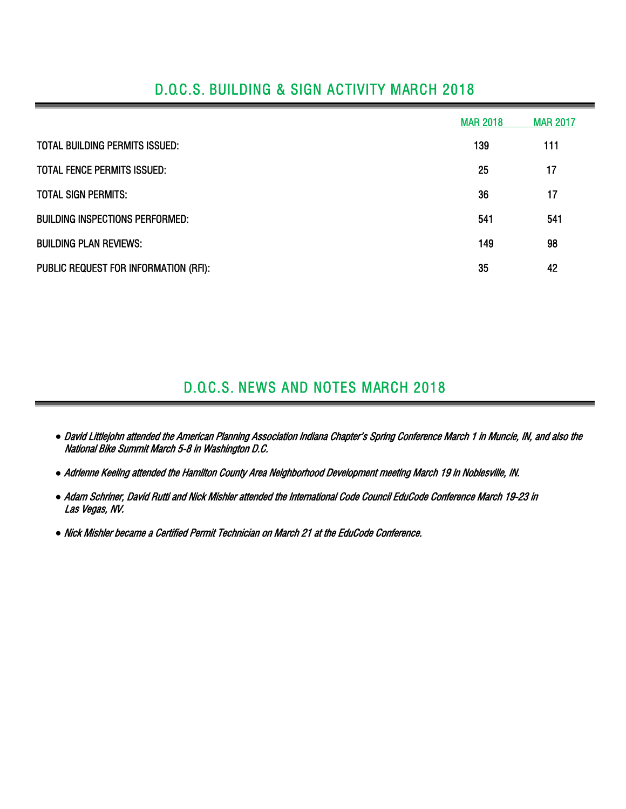|                                        | <b>MAR 2018</b> | <b>MAR 2017</b> |
|----------------------------------------|-----------------|-----------------|
| <b>TOTAL BUILDING PERMITS ISSUED:</b>  | 139             | 111             |
| TOTAL FENCE PERMITS ISSUED:            | 25              | 17              |
| <b>TOTAL SIGN PERMITS:</b>             | 36              | 17              |
| <b>BUILDING INSPECTIONS PERFORMED:</b> | 541             | 541             |
| <b>BUILDING PLAN REVIEWS:</b>          | 149             | 98              |
| PUBLIC REQUEST FOR INFORMATION (RFI):  | 35              | 42              |

### D.O.C.S. BUILDING & SIGN ACTIVITY MARCH 2018

## D.O.C.S. NEWS AND NOTES MARCH 2018

- *●* David Littlejohn attended the American Planning Association Indiana Chapter's Spring Conference March 1 in Muncie, IN, and also the National Bike Summit March 5-8 in Washington D.C.
- *●* Adrienne Keeling attended the Hamilton County Area Neighborhood Development meeting March 19 in Noblesville, IN.
- *●* Adam Schriner, David Rutti and Nick Mishler attended the International Code Council EduCode Conference March 19-23 in Las Vegas, NV.
- *●* Nick Mishler became a Certified Permit Technician on March 21 at the EduCode Conference.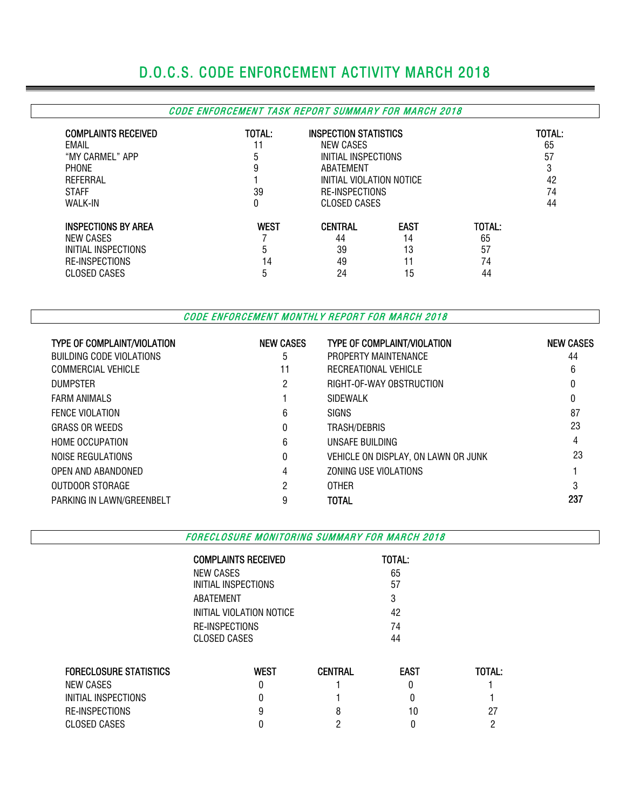# D.O.C.S. CODE ENFORCEMENT ACTIVITY MARCH 2018

#### CODE ENFORCEMENT TASK REPORT SUMMARY FOR MARCH 2018

| <b>COMPLAINTS RECEIVED</b><br>EMAIL<br>"MY CARMEL" APP<br><b>PHONE</b><br>REFERRAL<br><b>STAFF</b><br><b>WALK-IN</b> | TOTAL:<br>11<br>5<br>9<br>39<br>0 | <b>INSPECTION STATISTICS</b><br>NEW CASES<br>INITIAL INSPECTIONS<br>ABATEMENT<br>INITIAL VIOLATION NOTICE<br><b>RE-INSPECTIONS</b><br>CLOSED CASES |                                     |                                | TOTAL:<br>65<br>57<br>3<br>42<br>74<br>44 |
|----------------------------------------------------------------------------------------------------------------------|-----------------------------------|----------------------------------------------------------------------------------------------------------------------------------------------------|-------------------------------------|--------------------------------|-------------------------------------------|
| <b>INSPECTIONS BY AREA</b><br>NEW CASES<br>INITIAL INSPECTIONS<br><b>RE-INSPECTIONS</b><br>CLOSED CASES              | <b>WEST</b><br>5<br>14<br>b       | <b>CENTRAL</b><br>44<br>39<br>49<br>24                                                                                                             | <b>EAST</b><br>14<br>13<br>11<br>15 | TOTAL:<br>65<br>57<br>74<br>44 |                                           |

CODE ENFORCEMENT MONTHLY REPORT FOR MARCH 2018

| <b>TYPE OF COMPLAINT/VIOLATION</b> | <b>NEW CASES</b> | <b>TYPE OF COMPLAINT/VIOLATION</b>  | <b>NEW CASES</b> |
|------------------------------------|------------------|-------------------------------------|------------------|
| BUILDING CODE VIOLATIONS           | 5                | PROPERTY MAINTENANCE                | 44               |
| <b>COMMERCIAL VEHICLE</b>          | 11               | RECREATIONAL VEHICLE                | 6                |
| <b>DUMPSTER</b>                    | 2                | RIGHT-OF-WAY OBSTRUCTION            |                  |
| <b>FARM ANIMALS</b>                |                  | SIDEWALK                            | 0                |
| <b>FENCE VIOLATION</b>             | 6                | <b>SIGNS</b>                        | 87               |
| <b>GRASS OR WEEDS</b>              | 0                | TRASH/DEBRIS                        | 23               |
| <b>HOME OCCUPATION</b>             | 6                | UNSAFE BUILDING                     | 4                |
| NOISE REGULATIONS                  | 0                | VEHICLE ON DISPLAY, ON LAWN OR JUNK | 23               |
| OPEN AND ABANDONED                 | 4                | ZONING USE VIOLATIONS               |                  |
| OUTDOOR STORAGE                    | 2                | <b>OTHER</b>                        | 3                |
| PARKING IN LAWN/GREENBELT          | 9                | <b>TOTAL</b>                        | 237              |

FORECLOSURE MONITORING SUMMARY FOR MARCH 2018

|                               | <b>COMPLAINTS RECEIVED</b> |                | TOTAL:      |        |
|-------------------------------|----------------------------|----------------|-------------|--------|
|                               | <b>NEW CASES</b>           |                | 65          |        |
|                               | INITIAL INSPECTIONS        |                | 57          |        |
|                               | ABATEMENT                  |                | 3           |        |
|                               | INITIAL VIOLATION NOTICE   |                | 42          |        |
|                               | RE-INSPECTIONS             |                | 74          |        |
|                               | CLOSED CASES               |                | 44          |        |
| <b>FORECLOSURE STATISTICS</b> | <b>WEST</b>                | <b>CENTRAL</b> | <b>EAST</b> | TOTAL: |
| NEW CASES                     | 0                          |                |             |        |
| INITIAL INSPECTIONS           | 0                          |                | 0           |        |
| RE-INSPECTIONS                | 9                          | 8              | 10          | 27     |

CLOSED CASES 0 2 0 2 2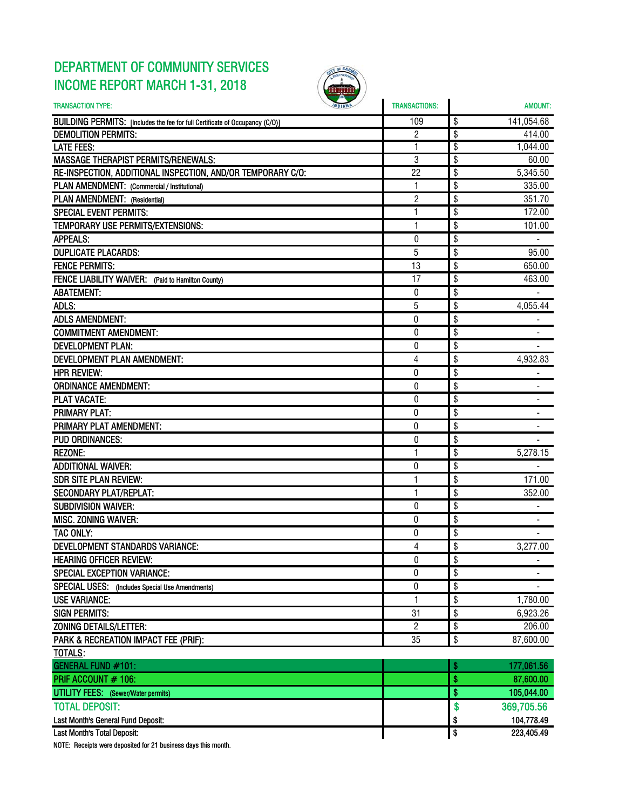### DEPARTMENT OF COMMUNITY SERVICES INCOME REPORT MARCH 1-31, 2018



| <b>TRANSACTION TYPE:</b>                                                     | <b>TRANSACTIONS:</b> |                      | <b>AMOUNT:</b> |
|------------------------------------------------------------------------------|----------------------|----------------------|----------------|
| BUILDING PERMITS: [Includes the fee for full Certificate of Occupancy (C/O)] | 109                  | \$                   | 141,054.68     |
| <b>DEMOLITION PERMITS:</b>                                                   | 2                    | \$                   | 414.00         |
| <b>LATE FEES:</b>                                                            | 1                    | \$                   | 1,044.00       |
| <b>MASSAGE THERAPIST PERMITS/RENEWALS:</b>                                   | 3                    | \$                   | 60.00          |
| RE-INSPECTION, ADDITIONAL INSPECTION, AND/OR TEMPORARY C/O:                  | 22                   | \$                   | 5,345.50       |
| PLAN AMENDMENT: (Commercial / Institutional)                                 | 1                    | \$                   | 335.00         |
| PLAN AMENDMENT: (Residential)                                                | 2                    | \$                   | 351.70         |
| <b>SPECIAL EVENT PERMITS:</b>                                                | 1                    | \$                   | 172.00         |
| TEMPORARY USE PERMITS/EXTENSIONS:                                            | 1                    | \$                   | 101.00         |
| <b>APPEALS:</b>                                                              | $\theta$             | \$                   |                |
| <b>DUPLICATE PLACARDS:</b>                                                   | 5                    | \$                   | 95.00          |
| <b>FENCE PERMITS:</b>                                                        | 13                   | \$                   | 650.00         |
| FENCE LIABILITY WAIVER: (Paid to Hamilton County)                            | 17                   | \$                   | 463.00         |
| <b>ABATEMENT:</b>                                                            | 0                    | \$                   |                |
| ADLS:                                                                        | 5                    | \$                   | 4,055.44       |
| <b>ADLS AMENDMENT:</b>                                                       | 0                    | \$                   |                |
| <b>COMMITMENT AMENDMENT:</b>                                                 | 0                    | \$                   |                |
| <b>DEVELOPMENT PLAN:</b>                                                     | 0                    | \$                   |                |
| DEVELOPMENT PLAN AMENDMENT:                                                  | 4                    | \$                   | 4,932.83       |
| <b>HPR REVIEW:</b>                                                           | $\bf{0}$             | \$                   |                |
| <b>ORDINANCE AMENDMENT:</b>                                                  | $\boldsymbol{0}$     | \$                   |                |
| <b>PLAT VACATE:</b>                                                          | 0                    | \$                   |                |
| <b>PRIMARY PLAT:</b>                                                         | 0                    | \$                   |                |
| PRIMARY PLAT AMENDMENT:                                                      | 0                    | \$                   |                |
| <b>PUD ORDINANCES:</b>                                                       | 0                    | \$                   |                |
| <b>REZONE:</b>                                                               | 1                    | \$                   | 5,278.15       |
| <b>ADDITIONAL WAIVER:</b>                                                    | 0                    | \$                   |                |
| <b>SDR SITE PLAN REVIEW:</b>                                                 | $\mathbf{1}$         | \$                   | 171.00         |
| <b>SECONDARY PLAT/REPLAT:</b>                                                | 1                    | \$                   | 352.00         |
| <b>SUBDIVISION WAIVER:</b>                                                   | 0                    | \$                   |                |
| <b>MISC. ZONING WAIVER:</b>                                                  | 0                    | \$                   |                |
| TAC ONLY:                                                                    | 0                    | \$                   |                |
| <b>DEVELOPMENT STANDARDS VARIANCE:</b>                                       | 4                    | \$                   | 3,277.00       |
| <b>HEARING OFFICER REVIEW:</b>                                               | $\pmb{0}$            | \$                   | $\blacksquare$ |
| <b>SPECIAL EXCEPTION VARIANCE:</b>                                           | 0                    | \$                   |                |
| SPECIAL USES: (Includes Special Use Amendments)                              | 0                    | \$                   |                |
| <b>USE VARIANCE:</b>                                                         | 1                    | \$                   | 1,780.00       |
| <b>SIGN PERMITS:</b>                                                         | 31                   | \$                   | 6,923.26       |
| ZONING DETAILS/LETTER:                                                       | 2                    | \$                   | 206.00         |
| PARK & RECREATION IMPACT FEE (PRIF):                                         | 35                   | \$                   | 87,600.00      |
| TOTALS:                                                                      |                      |                      |                |
| GENERAL FUND #101:                                                           |                      | \$                   | 177,061.56     |
| PRIF ACCOUNT # 106:                                                          |                      | \$                   | 87,600.00      |
| UTILITY FEES: (Sewer/Water permits)                                          |                      | \$                   | 105,044.00     |
| <b>TOTAL DEPOSIT:</b>                                                        |                      | \$                   | 369,705.56     |
| Last Month's General Fund Deposit:                                           |                      | \$                   | 104,778.49     |
| Last Month's Total Deposit:                                                  |                      | $\overline{\bullet}$ | 223,405.49     |

NOTE: Receipts were deposited for 21 business days this month.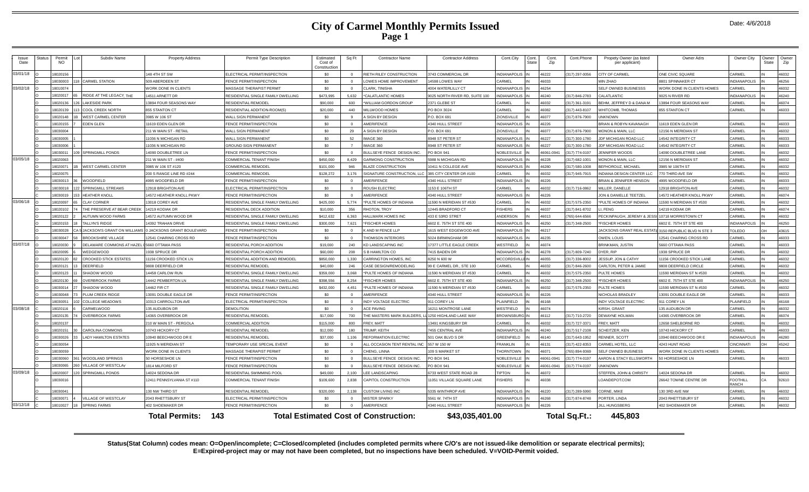### **City of Carmel Monthly Permits Issued Page 1**

| Issue<br>Date | Status | Permit<br>NO. | Subdiv Name                        | <b>Property Address</b>     | Permit Type Description             | Estimated<br>Cost of<br>Constructio | Sq Ft    | <b>Contractor Name</b>                       | <b>Contractor Address</b>       | Cont.City                 | Cont.<br><b>State</b> | Cont.<br>Zip | Cont.Phone    | Propety Owner (as listed<br>per applicant) | Owner Adrs                                           | Owner City                      | Owner<br>State | Owner<br>Zip |
|---------------|--------|---------------|------------------------------------|-----------------------------|-------------------------------------|-------------------------------------|----------|----------------------------------------------|---------------------------------|---------------------------|-----------------------|--------------|---------------|--------------------------------------------|------------------------------------------------------|---------------------------------|----------------|--------------|
| 03/01/18      |        | 8020156       |                                    | 48 4TH ST SW                | <b>LECTRICAL PERMIT/INSPECTION</b>  | \$0                                 | $\Omega$ | RIETH RILEY CONSTRUCTION                     | <b>743 COMMERCIAL DR</b>        | <b>VDIANAPOLIS</b>        |                       | 46222        | 317) 297-0056 | <b>ITY OF CARMEL</b>                       | <b>ONE CIVIC SQUARE</b>                              | CARMEL                          |                | 46032        |
|               |        | 8030003       | <b>CARMEL STATION</b>              | 609 ABERDEEN ST             | ENCE PERMIT/INSPECTION              | \$0                                 | $\Omega$ | LOWES HOME IMPROVEMENT                       | 4598 LOWES WAY                  | <b>ARMEL</b>              |                       | 16033        |               | <b>IN ZHAO</b>                             | 8801 SPINNAKER CT                                    | <b>INDIANAPOLIS</b>             |                | 46256        |
| 03/02/18      |        | 8010074       |                                    | <b>VORK DONE IN CLIENTS</b> | <b>MASSAGE THERAPIST PERMIT</b>     | \$0                                 | $\Omega$ | CLARK, TINISHA                               | 1004 WATERLILLY CT              | <b>NDIANAPOLIS</b>        |                       | 16254        |               | ELF OWNED BUSINESSS                        | VORK DONE IN CLIENTS HOMES                           | CARMEL                          |                | 46032        |
|               |        | 8020017       | <b>IDGE AT THE LEGACY, THE</b>     | 4511 ARNETT DR              | RESIDENTIAL SINGLE FAMILY DWELLING  | \$473,995                           | 5.632    | *CALATLANTIC HOMES                           | 025 NORTH RIVER RD, SUITE 100   | NDIANAPOLI                |                       | 46240        | 317) 846-2783 | ALATLANTIC                                 | 9025 N RIVER RD                                      | <b>INDIANAPOLIS</b>             |                | 46240        |
|               |        | 8020136       | <b>AKESIDE PARK</b>                | 3894 FOUR SEASONS WAY       | RESIDENTIAL REMODEL                 | \$90,000                            | 600      | WILLIAM GORDON GROUP                         | 2371 GLEBE ST                   | ARMEL                     |                       | 16032        | 317) 361-3191 | EHM, JEFFREY D & DANA M                    | 3894 FOUR SEASONS WAY                                | CARMEL                          |                | 46074        |
|               |        | 8020139       | COOL CREEK NORTH                   | <b>355 STANTON CT</b>       | RESIDENTIAL ADDITION-ROOM(S)        | \$20,000                            | 440      | MILLWOOD HOMES                               | PO BOX 3024                     | ARMEI                     |                       | 46082        | 317) 443-8107 | HITCOMB, THOMAS                            | 855 STANTON CT                                       | CARMEL                          |                | 46033        |
|               |        | 8020148       | <b>/EST CARMEL CENTER</b>          | 3985 W 106 ST               | <b>WALL SIGN PERMANENT</b>          | \$0                                 |          | A SIGN BY DESIGN                             | P.O. BOX 691                    | <b>IONSVILLE</b>          |                       | 46077        | 317) 876-7900 | <b>NKNOWN</b>                              |                                                      |                                 |                |              |
|               |        | 8020155       | <b>DEN GLEN</b>                    | 1619 EDEN GLEN DR           | FENCE PERMIT/INSPECTION             | \$0                                 | $\Omega$ | AMERIFENCE                                   | 4340 HULL STREET                | NDIANAPOLIS               |                       | 46226        |               | BRIAN & ROBYN KAVANAGH                     | 1619 EDEN GLEN DR                                    | CARMEL                          |                | 46033        |
|               |        | 8030004       |                                    | 11 W MAIN ST - RETAIL       | <b>VALL SIGN PERMANENT</b>          | \$0                                 | 29       | A SIGN BY DESIGN                             | P.O. BOX 691                    | <b>IONSVILLE</b>          |                       | 16077        | 317) 876-7900 | <b>IONON &amp; MAIN, LLC</b>               | 12156 N MERIDIAN ST                                  | CARMEL                          |                | 46032        |
|               |        | 8030005       |                                    | 1036 N MICHIGAN RD          | <b>WALL SIGN PERMANENT</b>          | \$0                                 | 52       | IMAGE 360                                    | 3948 ST PETER ST                | NDIANAPOLIS               |                       | 46227        | 317) 300-1780 | DF MICHIGAN ROAD LLC                       | 14542 INTEGRITY CT                                   | CARMEL                          |                | 46033        |
|               |        | 8030006       |                                    | 036 N MICHIGAN RD           | <b>GROUND SIGN PERMANENT</b>        | \$0                                 |          | <b>IMAGE 360</b>                             | 948 ST PETER ST                 | <b>VDIANAPOLIS</b>        |                       | 16227        | 317) 300-1780 | OF MICHIGAN ROAD LLC                       | 4542 INTEGRITY CT                                    | CARMEI                          |                | 46033        |
|               |        | 803001        | <b>SPRINGMILL PONDS</b>            | 4090 DOUBLETREE LN          | FENCE PERMIT/INSPECTION             | \$0                                 | $\Omega$ | BULLSEYE FENCE DESIGN INC                    | PO BOX 941                      | <b>VOBLESVILLE</b>        |                       | 16061-094    | 317) 774-0197 | <b>ENNIFER WOODS</b>                       | 14090 DOUBLETREE LANE                                | CARMEL                          |                | 46032        |
| 03/05/18      |        | 8020063       |                                    | 11 W MAIN ST - #400         | COMMERCIAL TENANT FINISH            | \$450,000                           | 8,429    | <b>GARMONG CONSTRUCTION</b>                  | 988 N MICHIGAN RD               | <b>VDIANAPOLIS</b>        |                       | 16228        | 317) 682-1001 | ONON & MAIN II C                           | 12156 N MERIDIAN ST                                  | CARMEL                          |                | 46032        |
|               |        | 8020071       | <b>VEST CARMEL CENTER</b>          | 3985 W 106 ST #120          | COMMERCIAL REMODEL                  | \$101,000                           | 946      | <b>BLAZE CONSTRUCTION</b>                    | 10411 N COLLEGE AVE             | <b>NDIANAPOLIS</b>        |                       | 46280        | 317) 580-1008 | EFHOROUZ, MICHAEL                          | 3985 W 106TH ST                                      | CARMEL                          |                | 46032        |
|               |        | 8020075       |                                    | 200 S RANGE LINE RD #244    | COMMERCIAL REMODEL                  | \$128,272                           | 3,176    | SIGNATURE CONSTRUCTION, LLC                  | 385 CITY CENTER DR #100         | ARMEL                     |                       | 46032        | 317) 945-7915 | <b>VDIANA DESIGN CENTER LLC</b>            | 770 THIRD AVE SW                                     | CARMEL                          |                | 46032        |
|               |        | 8030013       | VOODFIELD                          | 995 WOODFIELD DR            | FENCE PERMIT/INSPECTION             | \$0                                 | $\Omega$ | AMERIFENCE                                   | <b>1340 HULL STREET</b>         | <b>VDIANAPOLIS</b>        |                       | 46226        |               | RIAN & JENNIFER HENSON                     | 995 WOODFIELD DR                                     | CARMEL                          |                | 46033        |
|               |        | 8030018       | <b>SPRINGMILL STREAMS</b>          | 2918 BRIGHTON AVE           | <b>ELECTRICAL PERMIT/INSPECTION</b> | \$0                                 | $\Omega$ | <b>ROUSH ELECTRIC</b>                        | 153 E 106TH ST                  | ARMEL                     |                       | 46032        | 317) 716-0862 | <b>IILLER, DANELLE</b>                     | 12918 BRIGHTON AVE                                   | CARMEL                          |                | 46032        |
|               |        | 8030019       | <b>HEATHER KNOLL</b>               | 4572 HEATHER KNOLL PKWY     | ENCE PERMIT/INSPECTION              | \$0                                 | $\Omega$ | AMERIFENCE                                   | <b>1340 HULL STREET</b>         | <b>VDIANAPOLIS</b>        |                       | 46226        |               | ON & DANIELLE TEETZEL                      | 14572 HEATHER KNOLL PKWY                             | CARMEL                          |                | 46074        |
| 03/06/18      |        | 8020097       | <b>CLAY CORNER</b>                 | 3018 COREY AVE              | RESIDENTIAL SINGLE FAMILY DWELLING  | \$425,000                           | 5.774    | *PULTE HOMES OF INDIANA                      | 1590 N MERIDIAN ST #530         | <b>ARMEI</b>              |                       | 46032        | 317) 575-2350 | PULTE HOMES OF INDIANA                     | 1590 N MERIDIAN ST #530                              | CARMEL                          |                | 46032        |
|               |        | 8020102       | HE PRESERVE AT BEAR CREEK          | 4219 KODIAK DR              | RESIDENTIAL DECK ADDITION           | \$10,000                            | 356      | RHOTON, TROY                                 | 2445 BRADFORD CT                | <b>ISHERS</b>             |                       | 16037        | 317) 841-8702 | <b>FFNG</b>                                | 14219 KODIAK DR                                      | CARMEL                          |                | 46074        |
|               |        | 8020122       | UTUMN WOOD FARMS                   | 4572 AUTUMN WOOD DR         | RESIDENTIAL SINGLE FAMILY DWELLING  | \$412,632                           | 6.363    | HALLMARK HOMES INC                           | 433 E 53RD STRET                | NDERSON                   |                       | 16013        | 765) 644-6566 | ECKINPAUGH, JEREMY & JES                   | 10718 MORRISTOWN CT                                  | CARMEL                          |                | 46032        |
|               |        | 8020153       | ALLYN'S RIDGE                      | <b>4392 TRAHAN DRIVE</b>    | RESIDENTIAL SINGLE FAMILY DWELLING  | \$300,000                           | 7.621    | <b>*FISCHER HOMES</b>                        | 6602 E. 75TH ST STE 400         | <b>VDIANAPOLIS</b>        |                       | 16250        | 317) 348-2500 | <b>ISCHER HOMES</b>                        | 602 E. 75TH ST STE 400                               | <b>INDIANAPOLIS</b>             |                | 46250        |
|               |        | 8030028       | <b>JACKSON'S GRANT ON WILLIAMS</b> | JACKSONS GRANT BOULEVARD    | FENCE PERMIT/INSPECTION             | \$0                                 | $\Omega$ | K AND M FENCE LLP                            | 615 WEST EDGEWOOD AVE           | <b>VDIANAPOLIS</b>        |                       | 46217        |               |                                            | ACKSONS GRANT REAL ESTATE 3150 REPUBLIC BLVD N STE 3 | <b>TOLEDO</b>                   | <b>OH</b>      | 43615        |
|               |        | 8030047       | ROOKSHIRE VILLAGE                  | 2541 CHARING CROSS RD       | FENCE PERMIT/INSPECTION             | \$0                                 | $\Omega$ | THOMISON INTERIORS                           | 6024 BIRMINGHAM DR              | <b>VDIANAPOLIS</b>        |                       | 46235        |               | <b>OWEN, LOUIS</b>                         | 2541 CHARING CROSS RD                                | CARMEL                          |                | 46033        |
| 03/07/18      |        | 8020030       | ELAWARE COMMONS AT HAZEL           | 5660 OTTAWA PASS            | RESIDENTIAL PORCH ADDITION          | \$19,000                            | 240      | KD LANDSCAPING INC                           | <b>17377 LITTLE EAGLE CREEK</b> | VESTFIELD                 |                       | 46074        |               | <b>BRINKMAN, JUSTIN</b>                    | 5660 OTTAWA PASS                                     | CARMEL                          |                | 46033        |
|               |        | 8020095       | <b>EDGEWOOD</b>                    | 938 SPRUCE DR               | <b>ESIDENTIAL PORCH ADDITION</b>    | \$60,000                            | 208      | S B HAMILTON CO                              | 415 BADEN DR                    | <b>VDIANAPOLIS</b>        |                       | 16278        | 317) 809-7240 | YER RIP                                    | 1938 SPRUCE DR                                       | CARMEL                          |                | 46032        |
|               |        | 8020120       | ROOKED STICK ESTATES               | 1156 CROOKED STICK LN       | RESIDENTIAL ADDITION AND REMODEL    | \$850,000                           | 1.330    | CARRINGTON HOMES. INC                        | 3250 N 600 W                    | <b>ICCORDSVILL</b>        |                       | 16055        | 317) 336-8002 | <b>ESSUP, JON &amp; CATHY</b>              | 1156 CROOKED STICK LANE                              | CARMEL                          |                | 46032        |
|               |        | 8020121       | DEERFIELD                          | 808 DEERFIELD CIR           | RESIDENTIAL REMODEI                 | \$40,000                            | 246      | CASE DESIGN/REMODELING                       | 99 E CARMEL DR., STE 100        | ARME                      |                       | 16032        | 317) 846-2600 | ARLTON, PETER & JAMIE                      | 808 DEERFIELD CIRCLE                                 | CARMEL                          |                | 46032        |
|               |        | 8020123       | HADOW WOOD                         | 4458 CARLOW RUN             | RESIDENTIAL SINGLE FAMILY DWELLING  | \$359,000                           | 3,068    | *PULTE HOMES OF INDIANA                      | 1590 N MERIDIAN ST #530         | ARMEL                     |                       | 16032        | 317) 575-2350 | ULTE HOMES                                 | 11590 MERIDIAN ST N #530                             | CARMEL                          |                | 46032        |
|               |        | 8020130       | <b>VERBROOK FARMS</b>              | 4442 PEMBERTON LN           | RESIDENTIAL SINGLE FAMILY DWELLING  | \$398,556                           | 8.254    | <b>*FISCHER HOMES</b>                        | 602 E. 75TH ST STE 400          | NDIANAPOLI                |                       | 16250        | 317) 348-2500 | <b>ISCHER HOMES</b>                        | 6602 E. 75TH ST STE 400                              | <b>INDIANAPOLIS</b>             |                | 46250        |
|               |        | 8030014       | <b>HADOW WOOD</b>                  | 4462 FIR CT                 | RESIDENTIAL SINGLE FAMILY DWELLING  | \$432,000                           | 4.451    | *PULTE HOMES OF INDIANA                      | 1590 N MERIDIAN ST #530         | ARMEL                     |                       | 46032        | 317) 575-2350 | ULTE HOMES                                 | 1590 MERIDIAN ST N #530                              | CARMEL                          |                | 46032        |
|               |        | 8030048       | LUM CREEK RIDGE                    | 3091 DOUBLE EAGLE DR        | FENCE PERMIT/INSPECTION             | \$0                                 | $\Omega$ | AMERIFENCE                                   | <b>1340 HULL STREET</b>         | <b>VDIANAPOLIS</b>        |                       | 16226        |               | <b>NICHOLAS BRADLEY</b>                    | 13091 DOUBLE EAGLE DR                                | CARMEL                          |                | 46033        |
|               |        | 8030051       | COLLEGE MEADOWS                    | 0313 CARROLLTON AVE         | ELECTRICAL PERMIT/INSPECTION        | \$0                                 | $\Omega$ | INDY VOLTAGE ELECTRIC                        | <b>911 COREY LN</b>             | LAINFIELD                 |                       | 46168        |               | INDY VOLTAGE ELECTRIC                      | 911 COREY LN                                         | PLAINFIELD                      |                | 46168        |
| 03/08/18      |        | 8020116       | <b>ARMELWOOD</b>                   | 35 AUDUBON DR               | DEMOLITION                          | \$0                                 | $\Omega$ | <b>ACE PAVING</b>                            | <b>6211 MONTROSE LANE</b>       | VESTFIELD                 |                       | 16074        |               | <b>IRSH, GRANT</b>                         | 135 AUDUBON DR                                       | CARMEL                          |                | 46032        |
|               |        | 8020135       | <b>OVERBROOK FARMS</b>             | 4365 OVERBROOK DR           | RESIDENTIAL REMODEL                 | \$17,000                            | 700      | THE MASTERS MARK BUILDERS.                   | 1250 HIGHLAND LAKE WAY          | <b>ROWNSBURG</b> IN       |                       | 16112        | 317) 710-2720 | <b>JEWAYNE HOLMAN</b>                      | 14365 OVERBROOK DR                                   | CARMEL                          |                | 46074        |
|               |        | 8020137       |                                    | 10 W MAIN ST - PERGOLA      | COMMERCIAL ADDITION                 | \$115,000                           | 800      | FREY. MATT                                   | 3491 KINGSBURY DR               | <b>ARMEL</b>              |                       | 16032        | 317) 727-3371 | REY, MATT                                  | 12658 SHELBORNE RD                                   | CARMEL                          |                | 46032        |
|               |        | 8020151       | CAROLINA COMMONS                   | 0743 HICKORY CT             | RESIDENTIAL REMODE                  | \$12,000                            | 180      | TRUMP, KEITH                                 | 455 CENTRAL AVE                 | <b>NDIANAPOLIS</b>        |                       | 16240        | 317) 517-2108 | CHEITZER, KEN                              | 10743 HICKORY CT                                     | CARMEL                          |                | 46033        |
|               |        | 18030026      | <b>ADY HAMILTON ESTATES</b>        | 0940 BEECHWOOD DR E         | RESIDENTIAL REMODEL                 | \$37,000                            | 1.106    | <b>REFORMATION ELECTRIC</b>                  | 501 OAK BLVD S DR               | <b>SREENFIELD</b>         |                       | 16140        | 317) 643-1952 | <b>ENNER, SCOTT</b>                        | 10940 BEECHWOOD DR B                                 | <b>INDIANAPOLIS</b>             |                | 46280        |
|               |        | 18030054      |                                    | 1925 N MERIDIAN ST          | <b>EMPORARY USE SPECIAL EVENT</b>   | \$0                                 | $\Omega$ | ALL OCCASION TENT RENTAL INC                 | 557 W 150 W                     | <b>RANKI IN</b>           |                       | 46131        | 317) 422-8353 | ARMEL HOTEL, LLC                           | 4243 HUNT ROAD                                       | <b>CINCINNATI</b>               | OH             | 45242        |
|               |        | 8030059       |                                    | <b>VORK DONE IN CLIENTS</b> | MASSAGE THERAPIST PERMIT            | \$0                                 | $\Omega$ | CHENG, LINNA                                 | 109 S MARKET ST                 | <b>HORNTOWN</b>           |                       | 16071        | 765) 894-9369 | ELF OWNED BUSINESS                         | <b>NORK DONE IN CLIENTS HOMES</b>                    | CARMEL                          |                |              |
|               |        | 8030060       | <b>NOODLAND SPRINGS</b>            | 0 HORSESHOE LN              | FENCE PERMIT/INSPECTION             | \$0                                 | $\Omega$ | BULLSEYE FENCE DESIGN INC                    | PO BOX 941                      | <b>VOBLESVILLE</b>        |                       | 16061-0941   | 317) 774-0197 | ARON & STACY ELLSWORTH                     | 50 HORSESHOE LN                                      | CARMEL                          |                | 46033        |
|               |        | 8030065       | <b>/ILLAGE OF WESTCLAY</b>         | 814 MILFORD ST              | FENCE PERMIT/INSPECTION             | \$0                                 | $\Omega$ | BULLSEYE FENCE DESIGN INC                    | O BOX 941                       | <b>VOBLESVILLE</b>        |                       | 16061-0941   | 317) 774-0197 | <b>NKNOWN</b>                              |                                                      |                                 |                |              |
| 03/09/18      |        | 8020007       | <b>SPRINGMILL PONDS</b>            | 4024 SEDONA DR              | RESIDENTIAL SWIMMING POOL           | \$49,000                            | 2.100    | LEE LANDSCAPING                              | 733 WEST STATE ROAD 28          | <b>IPTON</b>              |                       | 46072        |               | TEFFEN, JOHN & CHRISTY                     | 4024 SEDONA DR                                       | CARMEL                          |                | 46032        |
|               |        | 8030016       |                                    | 2411 PENNSYLVANIA ST #110   | COMMERCIAL TENANT FINISH            | \$109,600                           | 2,838    | CAPITOL CONSTRUCTION                         | 1051 VILLAGE SQUARE LANE        | <b>ISHERS</b>             |                       | 46038        |               | OANDEPOT.COM                               | 26642 TOWNE CENTRE DR                                | <b>FOOTHILL</b><br><b>RANCH</b> |                | 92610        |
|               |        | 8030041       |                                    | 130 NW THIRD ST             | RESIDENTIAL REMODEL                 | \$320,000                           | 2.138    | <b>CUSTOM LIVING INC</b>                     | 5335 WINTHROP AVE               | <b>VDIANAPOLIS</b>        |                       | 46220        | 317) 289-5990 | ORNE, MIKE                                 | 130 3RD AVE NW                                       | CARMEL                          |                | 46032        |
|               |        | 8030071       | <b>/ILLAGE OF WESTCLAY</b>         | 2043 RHETTSBURY ST          | ELECTRICAL PERMIT/INSPECTION        | \$0                                 | $\Omega$ | <b>MISTER SPARKY</b>                         | 5561 W. 74TH ST                 | <b>NDIANAPOLIS</b>        |                       | 46268        | 317) 874-8748 | ORTER, LINDA                               | 2043 RHETTSBURY ST                                   | CARMEL                          |                | 46032        |
| 03/12/18      |        | 8010027       | <b>PRING FARMS</b>                 | <b>02 SHOEMAKER DR</b>      | FENCE PERMIT/INSPECTION             | \$0                                 |          | <b>AMERIFENCE</b>                            | 4340 HULL STREET                | NDIANAPOLIS <sup>IN</sup> |                       | 16226        |               | <b>ILL HUNGSBERG</b>                       | 402 SHOEMAKER DR                                     | CARMEL                          |                | 46032        |
|               |        |               |                                    | <b>Total Permits:</b>       | 143                                 |                                     |          | <b>Total Estimated Cost of Construction:</b> | \$43,035,401.00                 |                           |                       |              | Total Sq.Ft.: | 445.803                                    |                                                      |                                 |                |              |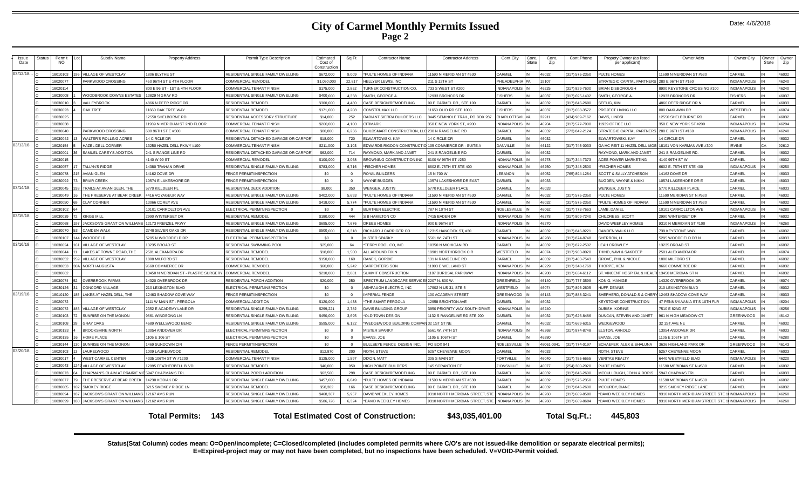### **City of Carmel Monthly Permits Issued Page 2**

| Issue     | Status | Permit   |    | Subdiv Name                                   | <b>Property Address</b>                                  | Permit Type Description               | Estimated               | Sq F           | <b>Contractor Name</b>                               | <b>Contractor Address</b>                    | Cont.City           | Cont  | Cont      | Cont.Phone     | Propety Owner (as listed                               | Owner Adrs                                     | Owner City          | Owner | Owner |
|-----------|--------|----------|----|-----------------------------------------------|----------------------------------------------------------|---------------------------------------|-------------------------|----------------|------------------------------------------------------|----------------------------------------------|---------------------|-------|-----------|----------------|--------------------------------------------------------|------------------------------------------------|---------------------|-------|-------|
| Date      |        | NO.      |    |                                               |                                                          |                                       | Cost of<br>Constructior |                |                                                      |                                              |                     | State | Zip       |                | per applicant)                                         |                                                |                     | State | Zip   |
| 03/12/18. |        | 18010103 |    | VILLAGE OF WESTCLAY                           | 1806 BLYTHE ST                                           | RESIDENTIAL SINGLE FAMILY DWELLING    | \$672,000               | 9.009          | *PULTE HOMES OF INDIANA                              | 11590 N MERIDIAN ST #530                     | CARMEL              |       | 16032     | (317) 575-2350 | PULTE HOMES                                            | 1690 N MERIDIAN ST #530                        | CARMEL              |       | 46032 |
|           |        | 18020077 |    | PARKWOOD CROSSING                             | 450 96TH ST E 4TH FLOOR                                  | <b>COMMERCIAL REMODEI</b>             | \$1,050,000             | 22.817         | HELLYER LEWIS, INC                                   | 211 S 12TH ST                                | PHILADELPHIA        |       | 19107     |                | STRATEGIC CAPITAL PARTNERS                             | 280 E 96TH ST #160                             | <b>NDIANAPOLIS</b>  |       | 46240 |
|           |        | 18020114 |    |                                               | 800 E 96 ST - 1ST & 4TH FLOOR                            | <b>COMMERCIAL TENANT FINISH</b>       | \$175,000               | 2,852          | <b>URNER CONSTRUCTION CO.</b>                        | 733 S WEST ST #200                           | <b>INDIANAPOLIS</b> |       | 16225     | (317) 829-7600 | <b>BRIAN DISBOROUGH</b>                                | 8900 KEYSTONE CROSSING #100                    | <b>INDIANAPOLIS</b> |       | 46240 |
|           |        | 18030008 |    | WOODBROOK DOWNS ESTATES                       | 13829 N GRAY RD                                          | RESIDENTIAL SINGLE FAMILY DWELLING    | \$400,000               | 4.358          | SMITH, GEORGE A                                      | 12933 BRONCOS DR                             | <b>FISHERS</b>      |       | 16037     | (317) 695-1402 | SMITH, GEORGE A                                        | 12933 BRONCOS DR                               | <b>ISHERS</b>       |       | 46037 |
|           |        | 18030010 |    | VALLEYBROOK                                   | 4866 N DEER RIDGE DR                                     | <b>RESIDENTIAL REMODEI</b>            | \$300,000               | 4 4 8 0        | CASE DESIGN/REMODELING                               | 99 E CARMEL DR., STE 100                     | CARMEL              |       | 46032     | (317) 846-2600 | SEELIG. KIM                                            | 4866 DEER RIDGE DR N                           | <b>CARMEL</b>       |       | 46033 |
|           |        | 18030023 |    | <b>OAK TREE</b>                               | 11660 OAK TREE WAY                                       | <b>RESIDENTIAL REMODEL</b>            | \$171,000               | 4 208          | CONSTRUMAX LLC                                       | 11650 OLIO RD STE 1000                       | <b>FISHERS</b>      |       | 46037     | (317) 658-3572 | PROJECT LIVING LLC                                     | 800 OAKLAWN DR                                 | <b>WESTFIELD</b>    |       | 46074 |
|           |        | 18030025 |    |                                               | 12550 SHELBORNE RD                                       | RESIDENTIAL ACCESSORY STRUCTURE       | \$14,000                | 252            | RADIANT SIERRA BUILDERS LLC                          | 3445 SEMINOLE TRAIL, PO BOX 287              | CHARLOTTSVIL VA     |       | 22911     | (434) 989-7162 | DAVIS, LINDSI                                          | 12550 SHELBOURNE RD                            | CARMEL              |       | 46032 |
|           |        | 18030038 |    |                                               | 11939 N MERIDIAN ST 2ND FLOOR                            | <b>COMMERCIAL TENANT FINISH</b>       | \$200,000               | 4.100          | <b>ITIMARK</b>                                       | 350 E NEW YORK ST., #200                     | <b>INDIANAPOLIS</b> |       | 46204     | (317) 577-7900 | 1939 OFFICE LLC                                        | 350 E NEW YORK ST #200                         | <b>INDIANAPOLIS</b> |       | 46204 |
|           |        | 18030040 |    | PARKWOOD CROSSING                             | 600 96TH ST E #500                                       | <b>COMMERCIAL TENANT FINISH</b>       | \$80,000                | 6.256          | BUILDSMART CONSTRUCTION, LLC 230 N RANGELINE RD      |                                              | CARMEL              |       | 16032     | (773) 842-2124 | STRATEGIC CAPITAL PARTNERS                             | 280 E 96TH ST #160                             | <b>NDIANAPOLIS</b>  |       | 46240 |
|           |        | 18030042 |    | <b>WALTER'S ROLLING ACRES</b>                 | 14 CIRCLE DR                                             | RESIDENTIAL DETACHED GARAGE OR CARPOI | \$18,000                | 720            | ELWARTOWSKI, KAY                                     | 14 CIRCLE DR                                 | CARMEL              |       | 16032     |                | LWARTOWSKI, KAY                                        | 4 CIRCLE DR                                    | CARMEL              |       | 46032 |
| 03/13/18  |        | 18020154 |    | HAZEL DELL CORNER                             | 13250 HAZEL DELL PKWY #100                               | COMMERCIAL TENANT FINISH              | \$211,000               | 3.103          | EDWARDS-RIGDON CONSTRUCTIO 105 COMMERCE DR - SUITE A |                                              | <b>DANVILLE</b>     |       | 46122     | (317) 745-0033 | GA HC REIT 11 HAZEL DELL MOB 18191 VON KARMAN AVE #300 |                                                | <b>RVINE</b>        | CA.   | 92612 |
|           |        | 18030001 |    | SAMUEL CAREY'S ADDITION                       | 241 S RANGE LINE RD                                      | RESIDENTIAL DETACHED GARAGE OR CARPOI | \$62,000                | 714            | RAYMOND, MARK AND JANET                              | 241 S RANGELINE RD                           | CARMEL              |       | 16032     |                | RAYMOND, MARK AND JANET                                | 241 S RANGELINE RD.                            | CARMEL              |       | 46032 |
|           |        | 18030015 |    |                                               | 4140 W 99 ST                                             | COMMERCIAL REMODEL                    | \$100,000               | 3,068          | BROWNING CONSTRUCTION INC                            | 6100 W 96TH ST #250                          | <b>INDIANAPOLIS</b> |       | 16278     | (317) 344-7373 | ACES POWER MARKETING                                   | 4140 99TH ST W                                 | CARMEL              |       | 46032 |
|           |        | 18030057 | 17 | <b>TALLYN'S RIDGE</b>                         | 14380 TRAHAN DRIVE                                       | RESIDENTIAL SINGLE FAMILY DWELLING    | \$783,000               | 6,716          | <b>FISCHER HOMES</b>                                 | 6602 E. 75TH ST STE 400                      | <b>INDIANAPOLIS</b> |       | 16250     | (317) 348-2500 | <b>FISCHER HOMES</b>                                   | 6602 E. 75TH ST STE 400                        | <b>NDIANAPOLIS</b>  |       | 46250 |
|           |        | 18030078 |    | <b>AVIAN GLEN</b>                             | 14162 DOVE DR                                            | <b>ENCE PERMIT/INSPECTION</b>         | \$0                     | $\Omega$       | ROYAL BUILDERS                                       | 15 N 700 W                                   | <b>EBANON</b>       |       | 46052     | (765) 894-1284 | <b>SCOTT &amp; SALLY ATCHESON</b>                      | 4162 DOVE DR                                   | <b>CARMEL</b>       |       | 46033 |
|           |        | 18030092 |    | <b>BRIAR CREEK</b>                            | 10574 E LAKESHORE DR                                     | <b>ENCE PERMIT/INSPECTION</b>         | \$0                     | $\Omega$       | <b>VAYNE BUGDEN</b>                                  | 10574 LAKESHORE DR EAST                      | CARMEL              |       | 16033     |                | <b>BUGDEN, WAYNE &amp; NIKKI</b>                       | 0574 LAKESHORE DR E                            | CARMEL              |       | 46033 |
| 03/14/18  |        | 18030045 |    | TRAILS AT AVIAN GLEN. THE                     | 5770 KILLDEER PL                                         | RESIDENTIAL DECK ADDITION             | \$8,000                 | 350            | <b>VENGER, JUSTIN</b>                                | 5770 KILLDEER PLACE                          | CARMEL              |       | 16033     |                | WENGER, JUSTIN                                         | 5770 KILLDEER PLACE                            | CARMEL              |       | 46033 |
|           |        | 18030049 |    | THE PRESERVE AT BEAR CREEK                    | 4416 VOYAGEUR WAY                                        | RESIDENTIAL SINGLE FAMILY DWELLING    | \$402,000               | 5.693          | *PULTE HOMES OF INDIANA                              | 1590 N MERIDIAN ST #530                      | CARMEL              |       | 16032     | (317) 575-2350 | PULTE HOMES                                            | 1590 MERIDIAN ST N #530                        | CARMEL              |       | 46032 |
|           |        | 18030050 |    | <b>CLAY CORNER</b>                            | 13066 COREY AVE                                          | RESIDENTIAL SINGLE FAMILY DWELLING    | \$418,000               | 5,774          | *PULTE HOMES OF INDIANA                              | 11590 N MERIDIAN ST #530                     | CARMEL              |       | 46032     | (317) 575-2350 | *PULTE HOMES OF INDIANA                                | 1590 N MERIDIAN ST #530                        | CARMEL              |       | 46032 |
|           |        | 18030102 |    |                                               | 0101 CARROLLTON AVE                                      | ELECTRICAL PERMIT/INSPECTION          | \$0                     | $\Omega$       | BURTNER ELECTRIC                                     | 787 N 10TH ST                                | NOBLESVILLE         |       | 46062     | (317) 773-7663 | AMB, DANIEL                                            | 0101 CARROLLTON AVE                            | NDIANAPOLIS         |       | 46280 |
| 03/15/18  |        | 18030039 |    | <b>KINGS MILL</b>                             | 2990 WINTERSET DR                                        | RESIDENTIAL REMODEI                   | \$180,000               | 444            | <b>B HAMILTON CO</b>                                 | 7415 BADEN DF                                | <b>INDIANAPOLIS</b> |       | 16278     | (317) 809-7240 | <b>CHILDRESS, SCOTT</b>                                | 2990 WINTERSET DR                              | CARMEL              |       | 46032 |
|           |        | 18030068 |    | JACKSON'S GRANT ON WILLIAMS                   | 12173 FRENZEL PKWY                                       | RESIDENTIAL SINGLE FAMILY DWELLING    | \$695,000               | 7,676          | DREES HOMES                                          | 900 E 96TH ST                                | <b>INDIANAPOLIS</b> |       | 6270      |                | DAVID WEEKLEY HOMES                                    | 9310 N MERIDIAN ST #100                        | NDIANAPOLIS         |       | 46260 |
|           |        | 1803007  |    | CAMDEN WALK                                   | 2748 SILVER OAKS DR                                      | RESIDENTIAL SINGLE FAMILY DWELLING    | \$500,000               | 6.318          | RICHARD J CARRIGER CO                                | 12315 HANCOCK ST. #30                        | CARMEL              |       | 16032     | (317) 846-9221 | CAMDEN WALK LLC                                        | 739 KEYSTONE WAY                               | CARMEL              |       | 46032 |
|           |        | 18030107 |    | <b>WOODFIELD</b>                              | 5295 N WOODFIELD DR                                      | ELECTRICAL PERMIT/INSPECTION          | \$0                     | $\sim$         | <b>MISTER SPARKY</b>                                 | 5561 W. 74TH ST                              | <b>INDIANAPOLIS</b> |       | 88964     | (317) 874-8748 | SHERRON, LI                                            | 5295 WOODFIELD DR N                            | CARMEL              |       | 46033 |
| 03/16/18  |        | 18030024 |    | VILLAGE OF WESTCLAY                           | 13235 BROAD ST                                           | RESIDENTIAL SWIMMING POOL             | \$25,000                | 64             | *TERRY POOL CO. INC                                  | 10350 N MICHIGAN RD                          | CARMEL              |       | 46032     | (317) 872-2502 | <b>EAH CROWLEY</b>                                     | 13235 BROAD ST                                 | CARMEL              |       | 46032 |
|           |        | 18030044 |    | LAKES AT TOWNE ROAD. THE                      | 2501 ALEXANDRA DR                                        | <b>RESIDENTIAL REMODEL</b>            | \$18,000                | 1.500          | ALL AROUND FIXIN                                     | 18901 NORTHBROOK CIF                         | WESTFIELD           |       | 46074     | (317) 903-0020 | <b>THIND, NAVI &amp; SAKDEEP</b>                       | 2501 ALEXANDRA DR                              | CARMEL              |       | 46074 |
|           |        | 18030052 |    | 259 VILLAGE OF WESTCLAY                       | 1808 MILFORD ST                                          | <b>RESIDENTIAL REMODEL</b>            | \$150,000               | 160            | RANEK, GORDIE                                        | 131 N RANGELINE RD                           | CARMEL              |       | 46032     | (317) 403-7543 | GROVE, PHIL & NICOLE                                   | 1808 MILFORD ST                                | CARMEL              |       | 46032 |
|           |        | 18030053 |    | 30A NORTH AUGUSTA                             | 9660 COMMERCE DR                                         | <b>COMMERCIAL REMODEL</b>             | \$60,000                | 5.242          | CARPENTERS SON                                       | 11903 E WELLAND ST                           | <b>INDIANAPOLIS</b> |       | 46229     | (317) 348-1769 | HORPE, KEN                                             | 9660 COMMERCE DR                               | CARMEL              |       | 46032 |
|           |        | 18030062 |    |                                               | 13450 N MERIDIAN ST - PLASTIC SURGERY COMMERCIAL REMODEL |                                       | \$210,000               | 2.881          | <b>SUMMIT CONSTRUCTION</b>                           | 1107 BURDSAL PARKWAY                         | <b>INDIANAPOLIS</b> |       | 46208     | (317) 634-6112 | ST. VINCENT HOSPITAL & HEALTH 13450 MERIDIAN ST N      |                                                | CARMEL              |       | 46032 |
|           |        | 18030074 | 52 | <b>OVERBROOK FARMS</b>                        | 14320 OVERBROOK DR                                       | RESIDENTIAL PORCH ADDITION            | \$20,000                | 250            | SPECTRUM LANDSCAPE SERVICE                           | 2207 N. 800 W.                               | <b>GREENFIELD</b>   |       | 16140     | (317) 777-3599 | KONIG, MANIGE                                          | 14320 OVERBROOK DR                             | <b>CARMEL</b>       |       | 46074 |
|           |        | 18030126 |    | <b>CONCORD VILLAGE</b>                        | 210 LEXINGTON BLVD                                       | ELECTRICAL PERMIT/INSPECTION          | \$0                     | $\Omega$       | <b><i>SHPAUGH ELECTRIC, INC</i></b>                  | 17902 N US 31, STE 5                         | WESTFIELD           |       | 16074     | (317) 896-2605 | <b>HUFF, DENNIS</b>                                    | 210 LEXINGTON BLVD                             | CARMEL              |       | 46032 |
| 03/19/18  |        | 18010120 |    | LAKES AT HAZEL DELL. THE                      | 12463 SHADOW COVE WAY                                    | FENCE PERMIT/INSPECTION               | \$0                     | $\overline{0}$ | <b>MPERIAL FENCE</b>                                 | 100 ACADEMY STREET                           | GREENWOOD           |       | 16143     | (317) 888-3241 | SHEPHERD, DONALD S & CHERY 12463 SHADOW COVE WAY       |                                                | CARMEL              |       | 46033 |
|           |        | 18020072 |    |                                               | 1111 W MAIN ST - PERGOLA                                 | <b>COMMERCIAL ADDITION</b>            | \$120,000               | 1,438          | THE SMART PERGOLA                                    | 12958 BRIGHTON AVE                           | CARMEL              |       | 16032     |                | <b>KEYSTONE CONSTRUCTION</b>                           | 47 PENNSYLVANIA ST S 10TH FLR                  | <b>INDIANAPOLIS</b> |       | 46204 |
|           |        | 18030072 |    | VILLAGE OF WESTCLAY                           | 2352 E ACADEMY LANE DR                                   | RESIDENTIAL SINGLE FAMILY DWELLING    | \$299,221               | 2,782          | DAVIS BUILDING GROUP                                 | 3950 PRIORITY WAY SOUTH DRIVE                | <b>INDIANAPOLIS</b> |       | 16240     |                | DUBISH, KORINE                                         | 7510 E 82ND ST                                 | NDIANAPOLIS         |       | 46256 |
|           |        | 18030103 |    | SUNRISE ON THE MONON                          | 9861 WINDSONG LN                                         | RESIDENTIAL SINGLE FAMILY DWELLING    | \$450,000               | 3,695          | 'OLD TOWN DESIGN                                     | 1132 S RANGELINE RD STE 200                  | CARMEL              |       | 16032     | (317) 626-8486 | <b>DUNCAN, STEVEN AND JANET</b>                        | 961 N HIGH MEADOW CT                           | <b>GREENWOOD</b>    |       | 46142 |
|           |        | 18030108 |    | <b>GRAY OAKS</b>                              | 4689 WELLSWOOD BEND                                      | RESIDENTIAL SINGLE FAMILY DWELLING    | \$595,000               | 6,122          | 'WEDGEWOOD BUILDING COMPAN 32 1ST ST NE              |                                              | CARMEL              |       | 16032     | (317) 669-6315 | NEDGEWOOD                                              | 32 1ST AVE NE                                  | <b>CARMEL</b>       |       | 46032 |
|           |        | 18030133 |    | <b>BROOKSHIRE NORTH</b>                       | 13054 ANDOVER DR                                         | ELECTRICAL PERMIT/INSPECTION          | \$0                     | $\Omega$       | <b>MISTER SPARKY</b>                                 | 5561 W. 74TH ST                              | <b>INDIANAPOLIS</b> |       | 46268     | (317) 874-8748 | <b>ELSTON, ARNOLD</b>                                  | 3054 ANDOVER DR                                | <b>CARMEL</b>       |       | 46033 |
|           |        | 18030135 |    | HOME PLACE                                    | 1105 E 106 ST                                            | ELECTRICAL PERMIT/INSPECTION          | \$0                     | $\overline{0}$ | EVANS, JOE                                           | 1105 E 106TH ST                              | CARMEL              |       | 16280     |                | EVANS, JOE                                             | 1105 E 106TH ST                                | CARMEL              |       | 46280 |
|           |        | 18030144 |    | 130 SUNRISE ON THE MONON                      | 1469 SUNDOWN CIR                                         | <b>ENCE PERMIT/INSPECTION</b>         | \$0                     | $\overline{0}$ | <b>BULLSEYE FENCE DESIGN INC.</b>                    | PO BOX 941                                   | NOBLESVILLE         |       | 16061-094 | (317) 774-0197 | SCHAEFER, ALEX & SHALUNA                               | 3636 HIGHLAND PARK DR                          | <b>GREENWOOD</b>    |       | 46143 |
| 03/20/18  |        | 18020103 |    | LAURELWOOD                                    | 1009 LAURELWOOD                                          | RESIDENTIAL REMODEL                   | \$12,870                | 200            | ROTH, STEVE                                          | 5257 CHEYENNE MOON                           | CARMEL              |       | 16033     |                | ROTH, STEVE                                            | 5257 CHEYENNE MOON                             | CARMEL              |       | 46033 |
|           |        | 18030017 |    | <b>WEST CARMEL CENTER</b>                     | 4335 106TH ST W #1200                                    | <b>COMMERCIAL TENANT FINISH</b>       | \$125,000               | 1.597          | DIXON, MATT                                          | 305 S MAIN ST                                | <b>FORTVILLE</b>    |       | 16040     | (317) 755-6655 | <b>VERITAS REALTY</b>                                  | 6440 WESTFIELD BLVD                            | <b>NDIANAPOLIS</b>  |       | 46220 |
|           |        | 18030043 |    | VILLAGE OF WESTCLAY                           | 2995 FEATHERBELL BLVD                                    | <b>RESIDENTIAL REMODEI</b>            | \$40,000                | 950            | <b>IIGH POINTE BUILDERS</b>                          | 145 SCRANTON CT                              | ZIONSVILLI          |       | 6077      | 254) 300-2020  | PULTE HOMES                                            | 1590 MERIDIAN ST N #530                        | <b>CARME</b>        |       | 46032 |
|           |        | 18030073 |    | CHAPMAN'S CLAIM AT PRAIRIE \                  | 5947 CHAPMAN'S TRI                                       | RESIDENTIAL PORCH ADDITION            | \$62,500                | 298            | CASE DESIGN/REMODELING                               | 99 E CARMEL DR., STE 100                     | CARMEL              |       | 16032     | (317) 846-2600 | MCCULLOUGH, JOHN & DORIS                               | 5947 CHAPMAS TRL                               | CARMEL              |       | 46033 |
|           |        | 18030077 |    | THE PRESERVE AT BEAR CREEK                    | 14230 KODIAK DR                                          | RESIDENTIAL SINGLE FAMILY DWELLING    | \$457,000               | 6.049          | *PULTE HOMES OF INDIANA                              | 11590 N MERIDIAN ST #530                     | CARMEL              |       | 16032     | (317) 575-2350 | PULTE HOMES                                            | 1590 MERIDIAN ST N #530                        | CARMEL              |       | 46032 |
|           |        | 18030085 |    | <b>SMOKEY RIDGE</b>                           | 3215 SMOKEY RIDGE LN                                     | RESIDENTIAL REMODEL                   | \$58,302                | 166            | CASE DESIGN/REMODELING                               | 99 E CARMEL DR., STE 100                     | CARMEL              |       | 46032     | (317) 846-2600 | MCCURDY, DIANE                                         | 3215 SMOKEY RIDGE LANE                         | CARMEL              |       | 46032 |
|           |        | 18030094 |    | 187 JACKSON'S GRANT ON WILLIAMS 12167 AMS RUN |                                                          | RESIDENTIAL SINGLE FAMILY DWELLING    | \$468,387               | 5,957          | DAVID WEEKLEY HOMES                                  | 9310 NORTH MERIDIAN STREET, STE INDIANAPOLIS |                     |       | 16260     | (317) 669-8500 | DAVID WEEKLEY HOMES                                    | 9310 NORTH MERIDIAN STREET, STE 1 INDIANAPOLIS |                     |       | 46260 |
|           |        | 18030099 |    | 180 JACKSON'S GRANT ON WILLIAMS 12162 AMS RUN |                                                          | RESIDENTIAL SINGLE FAMILY DWELLING    | \$586,726               | 6,324          | 'DAVID WEEKLEY HOMES                                 | 9310 NORTH MERIDIAN STREET. STE              | <b>INDIANAPOLIS</b> |       | 16260     | (317) 669-8604 | DAVID WEEKLEY HOMES                                    | 9310 NORTH MERIDIAN STREET. STE                | <b>INDIANAPOLIS</b> |       | 46260 |
|           |        |          |    |                                               |                                                          |                                       |                         |                |                                                      |                                              |                     |       |           |                |                                                        |                                                |                     |       |       |

**Total Permits: Total Estimated Cost of Construction: \$43,035,401.00 143 Total Sq.Ft.: 445,803**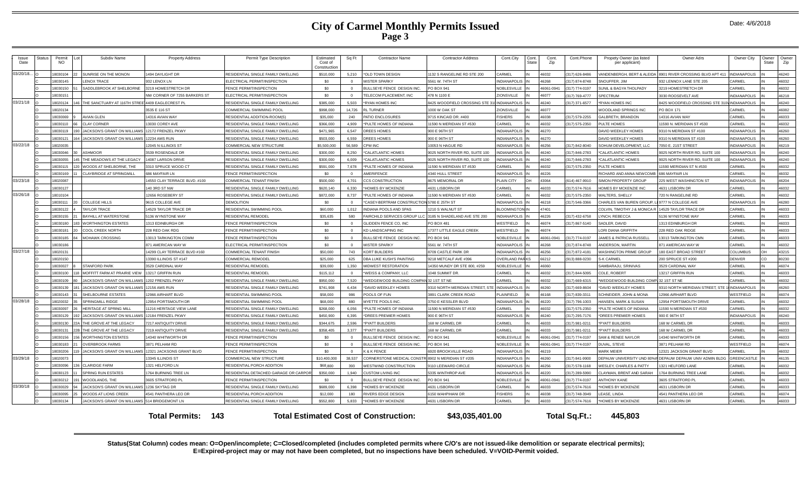### **City of Carmel Monthly Permits Issued Page 3**

| Issue<br>Date | Statu: | Permit<br><b>NO</b> |     | Subdiv Name                                          | <b>Property Address</b>      | Permit Type Description               | Estimated<br>Cost of<br>Construction | Sq Ft          | <b>Contractor Name</b>                       | <b>Contractor Address</b>       | Cont.City           | Cont<br>State | Cont.<br>Zip | Cont.Phone     | Propety Owner (as listed<br>per applicant) | Owner Adrs                                    | Owner City          | Owner<br>State | Owner<br>Zip |
|---------------|--------|---------------------|-----|------------------------------------------------------|------------------------------|---------------------------------------|--------------------------------------|----------------|----------------------------------------------|---------------------------------|---------------------|---------------|--------------|----------------|--------------------------------------------|-----------------------------------------------|---------------------|----------------|--------------|
| 03/20/18.     |        | 8030104             |     | SUNRISE ON THE MONON                                 | 1494 DAYLIGHT DR             | RESIDENTIAL SINGLE FAMILY DWELLING    | \$510,000                            | 5,210          | *OLD TOWN DESIGN                             | 132 S RANGELINE RD STE 200      | CARMEL              |               | 46032        | (317) 626-8486 | ANDENBERGH, BERT & ALEIDA                  | 8901 RIVER CROSSING BLVD APT 411              | <b>INDIANAPOLIS</b> |                | 46240        |
|               |        | 8030145             |     | <b>ENOX TRACE</b>                                    | 932 LENOX LN                 | ELECTRICAL PERMIT/INSPECTION          | \$0                                  | $\Omega$       | <b>MISTER SPARKY</b>                         | 5561 W. 74TH ST                 | <b>INDIANAPOLI</b>  |               | 88964        | (317) 874-8748 | NOUFFER JIM                                | 332 LENNOX LANE STE 205                       | CARMEL              |                | 46032        |
|               |        | 8030150             |     | SADDLEBROOK AT SHELBORNE                             | 3219 HOMESTRETCH DR          | FENCE PERMIT/INSPECTION               | \$0                                  | $\overline{0}$ | BULLSEYE FENCE DESIGN INC.                   | PO BOX 941                      | <b>VOBLESVILLE</b>  |               | 46061-094    | (317) 774-0197 | SUNIL & BAGYA THOLPADY                     | 3219 HOMESTRETCH DR                           | CARMEL              |                | 46032        |
|               |        | 8030151             |     |                                                      | NW CORNER OF 7255 BARKERS ST | FLECTRICAL PERMIT/INSPECTION          | \$0                                  | $\Omega$       | <b>FELECOM PLACEMENT. INC.</b>               | 178 N 1100 F                    | <b>ZIONSVILLE</b>   |               | 46077        | (317) 769-4777 | SPECTRUM                                   | 3030 ROOSEVELT AVE                            | <b>INDIANAPOLIS</b> |                | 46218        |
| 03/21/18      |        | 8020124             |     | THE SANCTUARY AT 116TH STREE 4409 EAGLECREST PL      |                              | RESIDENTIAL SINGLE FAMILY DWELLING    | \$385,000                            | 5.503          | <b>RYAN HOMES INC</b>                        | 3425 WOODFIELD CROSSING STE 3   | <b>INDIANAPOLIS</b> |               | 46240        | (317) 371-6577 | *RYAN HOMES INC                            | 3425 WOODFIELD CROSSING STE 310\ INDIANAPOLIS |                     |                | 46240        |
|               |        | 8020134             |     |                                                      | 3535 E 116 ST                | COMMERCIAL SWIMMING POOL              | \$998,000                            | 14,726         | L TURNER                                     | 1000 W OAK ST                   | ZIONSVILLE          |               | 16077        |                | WOODLAND SPRINGS INC                       | PO BOX 171                                    | CARMEI              |                | 46082        |
|               |        | 8030069             |     | AVIAN GLEN                                           | 14316 AVIAN WAY              | RESIDENTIAL ADDITION-ROOM(S)          | \$35,000                             | 240            | ATIO ENCLOSURES                              | 715 KINCAID DR. #400            | <b>ISHERS</b>       |               | 86038        | 317) 579-2255  | GALBRETH, BRANDON                          | 14316 AVIAN WAY                               | CARMEI              |                | 46033        |
|               |        | 8030110             |     | CLAY CORNER                                          | 13030 COREY AVE              | RESIDENTIAL SINGLE FAMILY DWELLING    | \$366,000                            | 4.909          | PULTE HOMES OF INDIANA                       | 1590 N MERIDIAN ST #530         | CARMEL              |               | 46032        | (317) 575-2350 | PULTE HOMES                                | 11590 N. MERIDIAN ST #530                     | CARMEL              |                | 46032        |
|               |        | 8030119             |     | <b>JACKSON'S GRANT ON WILLIAMS</b>                   | 12172 FRENZEL PKWY           | RESIDENTIAL SINGLE FAMILY DWELLING    | \$471.965                            | 6.547          | DREES HOMES                                  | 900 E 96TH ST                   | <b>NDIANAPOLI</b>   |               | 46270        |                | DAVID WEEKLEY HOMES                        | 9310 N MERIDIAN ST #100                       | <b>INDIANAPOLIS</b> |                | 46260        |
|               |        | 8030121             |     | <b>JACKSON'S GRANT ON WILLIAMS</b>                   | <b>12234 AMS RUN</b>         | RESIDENTIAL SINGLE FAMILY DWELLING    | \$503,000                            | 6.559          | DREES HOMES                                  | 900 E 96TH ST                   | <b>NDIANAPOLIS</b>  |               | 46270        |                | DAVID WEEKLEY HOMES                        | 9310 N MERIDIAN ST #100                       | <b>INDIANAPOLIS</b> |                | 46260        |
| 03/22/18      |        | 8020035             |     |                                                      | <b>12045 N ILLINOIS ST</b>   | COMMERCIAL NEW STRUCTURE              | \$5,500,000                          | 56,589         | <b>CPM INC</b>                               | 0053 N HAGUE RD                 | <b>NDIANAPOLIS</b>  |               | 46256        | (317) 842-8040 | SOHUM DEVELOPMENT, LLC                     | 7050 E. 21ST STREET                           | <b>INDIANAPOLIS</b> |                | 46219        |
|               |        | 8030046             |     | ASHMOOR                                              | 3539 ROSENDALE DR            | RESIDENTIAL SINGLE FAMILY DWELLING    | \$300,000                            | 8.250          | *CALATLANTIC HOMES                           | 025 NORTH RIVER RD, SUITE 100   | NDIANAPOLIS         |               | 46240        | (317) 846-2783 | *CALATLANTIC HOMES                         | 0025 NORTH RIVER RD, SUITE 100                | <b>NDIANAPOLIS</b>  |                | 46240        |
|               |        | 8030055             |     | THE MEADOWS AT THE LEGACY                            | 14087 LARSON DRIVE           | RESIDENTIAL SINGLE FAMILY DWELLING    | \$300,000                            | 6.009          | *CALATLANTIC HOMES                           | 025 NORTH RIVER RD, SUITE 100   | NDIANAPOLIS         |               | 46240        | (317) 846-2783 | *CALATLANTIC HOMES                         | 9025 NORTH RIVER RD, SUITE 100                | NDIANAPOLIS         |                | 46240        |
|               |        | 8030115             |     | WOODS AT SHELBORNE. THE                              | 3310 SPRUCE WOOD CT          | RESIDENTIAL SINGLE FAMILY DWELLING    | \$591,000                            | 7.678          | PULTE HOMES OF INDIANA                       | 1590 N MERIDIAN ST #530         | CARMEL              |               | 46032        | (317) 575-2350 | <b>PULTE HOMES</b>                         | 11590 MERIDIAN ST N #530                      | CARMEL              |                | 46032        |
|               |        | 8030169             |     | CLAYBRIDGE AT SPRINGMILL                             | 686 MAYEAIR I N              | <b>ENCE PERMIT/INSPECTION</b>         | \$0                                  | $\overline{0}$ | <b>MERIFENCE</b>                             | 1340 HULL STREET                | <b>NDIANAPOLIS</b>  |               | 16226        |                | <b>RICHARD AND ANNA NEWCOMB</b>            | 686 MAYFAIR LN                                | CARMEL              |                | 46032        |
| 03/23/18      |        | 8020087             |     |                                                      | 4550 CLAY TERRACE BLVD, #100 | COMMERCIAL TENANT FINISH              | \$500,000                            | 4.701          | CCS CONSTRUCTION                             | <b>8675 MEMORIAL DR</b>         | PLAIN CITY          |               | 13064        | 614) 467-9910  | SIMON PROPERTY GROUP                       | 225 WEST WASHINGTON ST                        | <b>INDIANAPOLIS</b> |                | 46204        |
|               |        | 8030127             |     |                                                      | 140 3RD ST NW                | RESIDENTIAL SINGLE FAMILY DWELLING    | \$620,140                            | 6.330          | <b>HOMES BY MCKENZIE</b>                     | <b>1631 LISBORN DR</b>          | CARMEI              |               | 6033         | (317) 574-7616 | <b>HOMES BY MCKENZIE INC</b>               | <b>4631 LISBORN DR</b>                        | CARME               |                | 46032        |
| 03/26/18      |        | 8010104             |     |                                                      | 12656 ROSEBERY ST            | RESIDENTIAL SINGLE FAMILY DWELLING    | \$872,000                            | 8,737          | *PULTE HOMES OF INDIANA                      | 1590 N MERIDIAN ST #530         | CARMEL              |               | 46032        | (317) 575-2350 | VALTERS, SHELLY                            | 720 N RANGELINE RD                            | CARMEI              |                | 46032        |
|               |        | 8030111             |     | COLLEGE HILLS                                        | 9615 COLLEGE AVE             | <b>DEMOLITION</b>                     | \$0                                  | $\Omega$       | CASEY-BERTRAM CONSTRUCTI                     | 5780 F 25TH ST                  | <b>NDIANAPOLIS</b>  |               | 46218        | (317) 546-3366 | <b>CHARLES VAN BUREN GROUP.</b>            | 9777 N COLLEGE AVE                            | <b>INDIANAPOLIS</b> |                | 46280        |
|               |        | 18030122            |     | <b>TAYLOR TRACE</b>                                  | 14529 TAYLOR TRACE DR        | RESIDENTIAL SWIMMING POOL             | \$60,000                             | 1.012          | NDIANA POOLS AND SPAS                        | 210 S WALNUT ST                 | <b>ILOOMINGTON</b>  |               | 47401        |                | COLVIN. TIMOTHY J & MONICA R               | 14529 TAYLOR TRACE DF                         | CARMEL              |                | 46033        |
|               |        | 8030155             |     | <b>BAYHILL AT WATERSTONE</b>                         | 5136 WYNSTONE WAY            | <b>RESIDENTIAL REMODEL</b>            | \$35.635                             | 580            | <b>FAIRCHILD SERVICES GROUP LLO</b>          | 3185 N SHADELAND AVE STE 200    | <b>NDIANAPOLIS</b>  |               | 46226        | (317) 432-6758 | LYNCH, REBECCA                             | 5136 WYNSTONE WAY                             | CARMEL              |                | 46033        |
|               |        | 18030180            |     | <b>WORTHINGTON ESTATES</b>                           | 1313 EDINBURGH DR            | FENCE PERMIT/INSPECTION               | \$0                                  | $\overline{0}$ | <b>GLIDDEN FENCE CO, INC</b>                 | <b>PO BOX 481</b>               | <b>NESTFIELD</b>    |               | 46074        | (317) 867-5140 | SADLER, DAVID                              | 1313 EDINBURGH DR                             | CARMEL              |                | 46033        |
|               |        | 8030181             | 20  | COOL CREEK NORTH                                     | 228 RED OAK RDG              | <b>ENCE PERMIT/INSPECTION</b>         | \$0                                  | $\overline{0}$ | KD LANDSCAPING INC                           | <b>17377 LITTLE EAGLE CREEK</b> | VESTFIELD           |               | 16074        |                | ORI DIANA GRIFFITH                         | 228 RED OAK RIDGE                             | <b>ARME</b>         |                | 46033        |
|               |        | 8030185             |     | <b>MOHAWK CROSSING</b>                               | 13013 TARKINGTON COMM        | <b>ENCE PERMIT/INSPECTION</b>         | \$0                                  | $\overline{0}$ | BULLSEYE FENCE DESIGN INC.                   | PO BOX 941                      | <b>VOBLESVILLE</b>  |               | 46061-094    | (317) 774-0197 | <b>JAMES &amp; PATRICIA RUSSELL</b>        | <b>13013 TARKINGTON CMN</b>                   | CARMEI              |                | 46033        |
|               |        | 8030186             |     |                                                      | 871 AMERICAN WAY W           | <b>ELECTRICAL PERMIT/INSPECTION</b>   | \$0                                  | $\Omega$       | <b>MISTER SPARKY</b>                         | 5561 W. 74TH ST                 | <b>NDIANAPOLIS</b>  |               | 6268         | 317) 874-8748  | NDERSON, MARTIN                            | 371 AMERICAN WAY W                            | CARME               |                | 46032        |
| 03/27/18      |        | 8020131             |     |                                                      | 14299 CLAY TERRACE BLVD #160 | <b>COMMERCIAL TENANT FINISH</b>       | \$50,000                             | 743            | KORT BUILDERS                                | 3709 CASTLE PARK DR             | NDIANAPOLIS         |               | 16256        | (317) 872-4181 | <b><i>NASHINGTON PRIME GROUP</i></b>       | 180 EAST BROAD STREET                         | <b>COLUMBUS</b>     |                | 43215        |
|               |        | 18020150            |     |                                                      | 13390 ILLINOIS ST #147       | COMMERCIAL REMODE                     | \$25,000                             | 625            | DRA LUKE KUSH'S PAINTING                     | 1218 METCALE AVE #396           | <b>OVERLAND PA</b>  |               | 66212        | (913) 888-0230 | <b>K CARME</b>                             | 200 SPRUCE ST #200                            | DENVER              | rη.            | 80230        |
|               |        | 8030027             |     | <b>STANFORD PARK</b>                                 | 3529 CARDINAL WAY            | <b>RESIDENTIAL REMODEI</b>            | \$39,000                             | 1,350          | MIDWEST RESTORATION                          | 4350 MUNDY DR STE 800, #259     | <b>NOBLESVILLE</b>  |               | 46060        |                | SAMBARAJU, SRINIVAS                        | 3529 CARDINAL WAY                             | CARMEL              |                | 46074        |
|               |        | 8030100             | 118 | MOFFITT FARM AT PRAIRIE VIEW                         | 13217 GRIFFIN RUN            | <b>RESIDENTIAL REMODEL</b>            | \$115.112                            | $\overline{0}$ | <b>WEISS &amp; COMPANY, LLC</b>              | 1048 SUMMIT DR                  | CARMEL              |               | 46032        | (317) 844-5095 | COLE, ROBERT                               | 13217 GRIFFIN RUN                             | CARMEL              |                | 46033        |
|               |        | 8030109             | 80  | JACKSON'S GRANT ON WILLIAMS                          | 1202 FRENZEL PKWY            | RESIDENTIAL SINGLE FAMILY DWELLING    | \$950,000                            | 7,520          | *WEDGEWOOD BUILDING COMPA                    | 32 1 ST ST NE                   | CARMEL              |               | 46032        | (317) 669-6315 | WEDGEWOOD BUILDING COMF                    | 32 1ST ST NF                                  | CARMEL              |                | 46032        |
|               |        | 8030139             | 181 | JACKSON'S GRANT ON WILLIAMS                          | <b>12156 AMS RUN</b>         | RESIDENTIAL SINGLE FAMILY DWELLING    | \$741,908                            | 6,434          | DAVID WEEKLEY HOMES                          | 310 NORTH MERIDIAN STREET, STE  | <b>INDIANAPOLIS</b> |               | 08961        | (317) 669-8604 | *DAVID WEEKLEY HOMES                       | 3310 NORTH MERIDIAN STREET, STE 1             | <b>INDIANAPOLIS</b> |                | 46260        |
|               |        | 8030143             |     | SHELBOURNE ESTATES                                   | <b>12966 AIRHART BLVD</b>    | RESIDENTIAL SWIMMING POOL             | \$58,000                             | 986            | OOLS OF FUN                                  | 891 CLARK CREEK ROAD            | PLAINFIELD          |               | 46168        | (317) 839-3311 | <b>SCHNEIDER, JOHN &amp; MONA</b>          | 2966 AIRHART BLVD                             | <b>NESTFIELD</b>    |                | 46074        |
| 03/28/18      |        | 8020032             |     | SPRINGMILL RIDGE                                     | 12954 PORTSMOUTH DR          | RESIDENTIAL SWIMMING POOL             | \$68,000                             | 880            | MYETTE POOLS INC                             | 750 E KESSLER BLVD              | NDIANAPOLI:         |               | 6220         | (317) 796-1003 | <b>IANSEN, MARK &amp; SUSAN</b>            | 12954 PORTSMOUTH DRIVE                        | CARMEI              |                | 46032        |
|               |        | 8030097             |     | HERITAGE AT SPRING MILL                              | 11216 HERITAGE VIEW LANE     | RESIDENTIAL SINGLE FAMILY DWELLING    | \$268,000                            | 6.056          | *PULTE HOMES OF INDIANA                      | 1590 N MERIDIAN ST #530         | CARMEL              |               | 46032        | (317) 575-2350 | *PULTE HOMES OF INDIANA                    | 11590 N MERIDIAN ST #530                      | CARMEL              |                | 46032        |
|               |        | 8030129             | 192 | <b>JACKSON'S GRANT ON WILLIAMS</b>                   | 12184 FRENZEL PKWY           | RESIDENTIAL SINGLE FAMILY DWELLING    | \$450,900                            | 6.395          | DREES PREMIER HOMES                          | 900 E 96TH ST                   | <b>NDIANAPOLIS</b>  |               | 46240        | (317) 295-7176 | *DREES PREMIER HOMES                       | 900 E 96TH ST                                 | INDIANAPOLIS        |                | 46240        |
|               |        | 8030130             | 22A | THE GROVE AT THE LEGACY                              | 7217 ANTIQUITY DRIVE         | RESIDENTIAL SINGLE FAMILY DWELLING    | \$344,675                            | 2.596          | PYATT BUILDERS                               | <b>68 W CARMEL DR</b>           | CARMEL              |               | 46033        | (317) 981-0211 | *PYATT BUILDERS                            | 168 W CARMEL DR                               | CARMEL              |                | 46033        |
|               |        | 8030131             |     | THE GROVE AT THE LEGACY                              | 7219 ANTIQUITY DRIVE         | RESIDENTIAL SINGLE FAMILY DWELLING    | \$358,405                            | 3.377          | *PYATT BUILDERS                              | <b>68 W CARMEL DR</b>           | CARMEL              |               | 46033        | (317) 981-0211 | *PYATT BUILDERS                            | 168 W CARMEL DR                               | CARMEI              |                | 46033        |
|               |        | 18030156            | 156 | <b>WORTHINGTON ESTATES</b>                           | 14340 WHITWORTH DR           | FENCE PERMIT/INSPECTION               | \$0                                  | $\overline{0}$ | <b>BULLSEYE FENCE DESIGN INC.</b>            | PO BOX 941                      | <b>VOBLESVILLE</b>  |               | 16061-094    | (317) 774-0197 | <b>SAM &amp; RENEE NAYLOR</b>              | 14340 WHITWORTH DR                            | CARMEL              |                | 46033        |
|               |        | 8030183             |     | <b>OVERBROOK FARMS</b>                               | 3871 PELHAM RD               | <b>ENCE PERMIT/INSPECTION</b>         | \$0                                  | $\Omega$       | <b>BULL SEYE FENCE DESIGN INC.</b>           | 20 BOX 941                      | <b>VOBLESVILLE</b>  |               | 16061-094    | (317) 774-0197 | <b>DUVAL, STEVE</b>                        | 8871 PELHAM RD                                | <b>NESTFIELD</b>    |                | 46074        |
|               |        | 8030206             |     | <b>JACKSON'S GRANT ON WILLIAMS</b>                   | 12321 JACKSONS GRANT BLVD    | FENCE PERMIT/INSPECTION               | \$0                                  | $\overline{0}$ | & K FENCE                                    | 920 BROOKVILLE ROAD             | <b>NDIANAPOLIS</b>  |               | 16219        |                | <b>MARK MEIER</b>                          | 12321 JACKSON GRANT BLVD                      | CARMEL              |                | 46032        |
| 03/29/18      |        | 8020073             |     |                                                      | <b>13345 ILLINOIS ST</b>     | COMMERCIAL NEW STRUCTURE              | \$10,400,000                         | 38.537         | CORNERSTONE MEDICAL CONST                    | 902 N MERIDIAN ST #205          | <b>NDIANAPOLIS</b>  |               | 6260         | (317) 841-9900 | DEPAUW UNIVERSITY UND 80%                  | DEPAUW DEPAUW UNIV ADMIN BLDG                 | <b>GREENCASTL</b>   |                | 46135        |
|               |        | 8030096             |     | CLARIDGE FARM                                        | 1321 HELFORD LN              | RESIDENTIAL PORCH ADDITION            | \$68,800                             | 393            | WESTWIND CONSTRUCTION                        | 110 LEEWARD CIRCLE              | <b>NDIANAPOLIS</b>  |               | 16256        | (317) 578-1168 | <b>WESLEY, CHARLES &amp; PATTY</b>         | 1321 HELFORD LANE                             | CARMEL              |                | 46032        |
|               |        | 18030123            |     | SPRING RUN ESTATES                                   | 1764 BURNING TREE LN         | RESIDENTIAL DETACHED GARAGE OR CARPOR | \$350,000                            | 1.940          | CUSTOM LIVING INC                            | 3335 WINTHROP AVE               | <b>NDIANAPOLIS</b>  |               | 46220        | (317) 289-5990 | LAYMAN, BRENT AND SARAH                    | 1764 BURNING TREE LANE                        | CARMEI              |                | 46032        |
|               |        | 8030212             |     | WOODLANDS. THE                                       | 3605 STRATFORD PI            | FENCE PERMIT/INSPECTION               | \$0                                  | $\Omega$       | <b>BULLSEYE FENCE DESIGN INC.</b>            | PO BOX 941                      | <b>VOBLESVILLE</b>  |               | 16061-094    | 317) 774-0197  | <b>NTHONY KANE</b>                         | <b>8605 STRATFORD PL</b>                      | CARMEI              |                | 46033        |
| 03/30/18      |        | 8030029             | 94  | JACKSON'S GRANT ON WILLIAMS                          | 1236 SKYTAG DR               | RESIDENTIAL SINGLE FAMILY DWELLING    | \$689,000                            | 6,398          | <b>HOMES BY MCKENZIE</b>                     | <b>1631 LISBORN DR</b>          | CARMEL              |               | 16033        | (317) 574-7616 | HOMES BY MCKENZIE                          | <b>1631 LISBORN DR</b>                        | CARMEL              |                | 46033        |
|               |        | 8030095             |     | WOODS AT LIONS CREEK                                 | 4541 PANTHERA LEO DR         | RESIDENTIAL PORCH ADDITION            | \$12,000                             | 180            | <b>IVERS EDGE DESIGN</b>                     | <b>3150 WAHPIHANI DE</b>        | <b>FISHERS</b>      |               | 46038        | (317) 748-3949 | <b>FASE, LINDA</b>                         | <b>1541 PANTHERA LEO DR</b>                   | CARME               |                | 46074        |
|               |        | 8030134             |     | <b>IACKSON'S GRANT ON WILLIAMS 514 BRIDGEMONT LN</b> |                              | RESIDENTIAL SINGLE FAMILY DWELLING    | \$552,800                            | 5.833          | *HOMES BY MCKENZIE                           | <b>1631 LISBORN DR</b>          | CARMEL              |               | 16033        | 317) 574-7616  | *HOMES BY MCKENZIE                         | <b>4631 LISBORN DR</b>                        | CARMEI              |                | 46033        |
|               |        |                     |     |                                                      |                              |                                       |                                      |                |                                              |                                 |                     |               |              |                |                                            |                                               |                     |                |              |
|               |        |                     |     |                                                      | <b>Total Permits: 143</b>    |                                       |                                      |                | <b>Total Estimated Cost of Construction:</b> | \$43,035,401.00                 |                     |               |              | Total Sq.Ft.:  | 445.803                                    |                                               |                     |                |              |